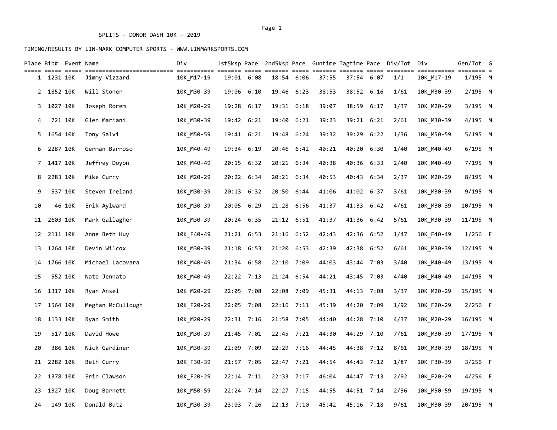|    | Place Bib# Event Name |         |                   | Div        |       |              |       |              |       |       |            | 1st5ksp Pace 2nd5ksp Pace Guntime Tagtime Pace Div/Tot | Div        | Gen/Tot G         |  |
|----|-----------------------|---------|-------------------|------------|-------|--------------|-------|--------------|-------|-------|------------|--------------------------------------------------------|------------|-------------------|--|
|    | 1 1231 10K            |         | Jimmy Vizzard     | 10K M17-19 |       | 19:01 6:08   | 18:54 | 6:06         | 37:55 |       | 37:54 6:07 | 1/1                                                    | 10K M17-19 | ==== =<br>1/195 M |  |
|    | 2 1852 10K            |         | Will Stoner       | 10K M30-39 | 19:06 | 6:10         | 19:46 | 6:23         | 38:53 | 38:52 | 6:16       | 1/61                                                   | 10K M30-39 | $2/195$ M         |  |
| 3  | 1027 10K              |         | Joseph Rorem      | 10K M20-29 | 19:28 | 6:17         |       | 19:31 6:18   | 39:07 | 38:59 | 6:17       | 1/37                                                   | 10K_M20-29 | 3/195 M           |  |
| 4  |                       | 721 10K | Glen Mariani      | 10K M30-39 |       | 19:42 6:21   | 19:40 | 6:21         | 39:23 | 39:21 | 6:21       | 2/61                                                   | 10K M30-39 | 4/195 M           |  |
| 5. | 1654 10K              |         | Tony Salvi        | 10K M50-59 |       | 19:41 6:21   |       | 19:48 6:24   | 39:32 | 39:29 | 6:22       | 1/36                                                   | 10K M50-59 | 5/195 M           |  |
| 6  | 2287 10K              |         | German Barroso    | 10K M40-49 |       | 19:34 6:19   |       | 20:46 6:42   | 40:21 | 40:20 | 6:30       | 1/40                                                   | 10K M40-49 | $6/195$ M         |  |
| 7  | 1417 10K              |         | Jeffrey Doyon     | 10K M40-49 | 20:15 | 6:32         |       | 20:21 6:34   | 40:38 | 40:36 | 6:33       | 2/40                                                   | 10K M40-49 | 7/195 M           |  |
| 8  | 2283 10K              |         | Mike Curry        | 10K M20-29 |       | 20:22 6:34   |       | 20:21 6:34   | 40:53 |       | 40:43 6:34 | 2/37                                                   | 10K M20-29 | 8/195 M           |  |
| 9  |                       | 537 10K | Steven Ireland    | 10K M30-39 |       | 20:13 6:32   |       | 20:50 6:44   | 41:06 |       | 41:02 6:37 | 3/61                                                   | 10K M30-39 | 9/195 M           |  |
| 10 |                       | 46 10K  | Erik Aylward      | 10K M30-39 |       | 20:05 6:29   |       | 21:28 6:56   | 41:37 |       | 41:33 6:42 | 4/61                                                   | 10K M30-39 | 10/195 M          |  |
| 11 | 2603 10K              |         | Mark Gallagher    | 10K M30-39 |       | 20:24 6:35   |       | 21:12 6:51   | 41:37 | 41:36 | 6:42       | 5/61                                                   | 10K M30-39 | 11/195 M          |  |
|    | 12 2111 10K           |         | Anne Beth Huy     | 10K F40-49 |       | 21:21 6:53   |       | 21:16 6:52   | 42:43 |       | 42:36 6:52 | 1/47                                                   | 10K F40-49 | $1/256$ F         |  |
|    | 13 1264 10K           |         | Devin Wilcox      | 10K M30-39 |       | 21:18 6:53   |       | 21:20 6:53   | 42:39 | 42:38 | 6:52       | 6/61                                                   | 10K M30-39 | 12/195 M          |  |
|    | 14 1766 10K           |         | Michael Lacovara  | 10K M40-49 |       | 21:34 6:58   |       | 22:10 7:09   | 44:03 |       | 43:44 7:03 | 3/40                                                   | 10K M40-49 | 13/195 M          |  |
| 15 |                       | 552 10K | Nate Jennato      | 10K M40-49 |       | 22:22 7:13   |       | 21:24 6:54   | 44:21 | 43:45 | 7:03       | 4/40                                                   | 10K M40-49 | 14/195 M          |  |
| 16 | 1317 10K              |         | Ryan Ansel        | 10K M20-29 |       | 22:05 7:08   |       | 22:08 7:09   | 45:31 |       | 44:13 7:08 | 3/37                                                   | 10K M20-29 | 15/195 M          |  |
| 17 | 1564 10K              |         | Meghan McCullough | 10K F20-29 |       | 22:05 7:08   |       | $22:16$ 7:11 | 45:39 | 44:20 | 7:09       | 1/92                                                   | 10K F20-29 | $2/256$ F         |  |
| 18 | 1133 10K              |         | Ryan Smith        | 10K M20-29 |       | 22:31 7:16   |       | 21:58 7:05   | 44:40 | 44:28 | 7:10       | 4/37                                                   | 10K M20-29 | 16/195 M          |  |
| 19 |                       | 517 10K | David Howe        | 10K M30-39 |       | 21:45 7:01   |       | 22:45 7:21   | 44:30 | 44:29 | 7:10       | 7/61                                                   | 10K M30-39 | 17/195 M          |  |
| 20 |                       | 386 10K | Nick Gardiner     | 10K M30-39 | 22:09 | 7:09         | 22:29 | 7:16         | 44:45 | 44:38 | 7:12       | 8/61                                                   | 10K M30-39 | 18/195 M          |  |
| 21 | 2282 10K              |         | Beth Curry        | 10K F30-39 |       | 21:57 7:05   |       | $22:47$ 7:21 | 44:54 | 44:43 | 7:12       | 1/87                                                   | 10K F30-39 | 3/256 F           |  |
|    | 22 1378 10K           |         | Erin Clawson      | 10K F20-29 | 22:14 | 7:11         |       | 22:33 7:17   | 46:04 | 44:47 | 7:13       | 2/92                                                   | 10K F20-29 | $4/256$ F         |  |
| 23 | 1327 10K              |         | Doug Barnett      | 10K M50-59 |       | $22:24$ 7:14 |       | 22:27 7:15   | 44:55 |       | 44:51 7:14 | 2/36                                                   | 10K M50-59 | 19/195 M          |  |
| 24 |                       | 149 10K | Donald Butz       | 10K M30-39 |       | 23:03 7:26   |       | $22:13$ 7:10 | 45:42 |       | 45:16 7:18 | 9/61                                                   | 10K M30-39 | 20/195 M          |  |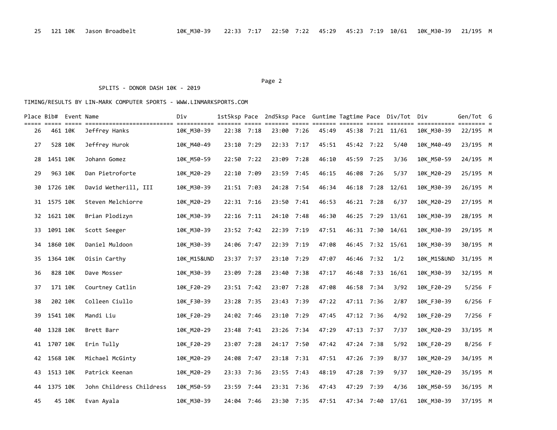#### Page 2 and the contract of the contract of the contract of the contract of the contract of the contract of the contract of the contract of the contract of the contract of the contract of the contract of the contract of the

### SPLITS - DONOR DASH 10K - 2019

| Place Bib# Event Name |          |        |                          | Div                    |                             |            |            |       |            |            | 1st5ksp Pace 2nd5ksp Pace Guntime Tagtime Pace Div/Tot Div |                        | Gen/Tot G                           |  |
|-----------------------|----------|--------|--------------------------|------------------------|-----------------------------|------------|------------|-------|------------|------------|------------------------------------------------------------|------------------------|-------------------------------------|--|
| 26                    | 461 10K  |        | Jeffrey Hanks            | 10K_M30-39             | ===== =====<br>$22:38$ 7:18 |            | 23:00 7:26 | 45:49 | 45:38      |            | 7:21 11/61                                                 | 10K M30-39             | $=$ $=$ $=$ $=$ $=$ $=$<br>22/195 M |  |
| 27                    | 528 10K  |        | Jeffrey Hurok            | 10K M40-49             | 23:10 7:29                  | 22:33 7:17 |            | 45:51 | 45:42 7:22 |            | 5/40                                                       | 10K M40-49             | 23/195 M                            |  |
| 28                    | 1451 10K |        | Johann Gomez             | 10K M50-59             | 22:50 7:22                  |            | 23:09 7:28 | 46:10 | 45:59      | 7:25       | 3/36                                                       | 10K_M50-59             | 24/195 M                            |  |
| 29                    | 963 10K  |        | Dan Pietroforte          | 10K M20-29             | 22:10 7:09                  | 23:59 7:45 |            | 46:15 | 46:08      | 7:26       | 5/37                                                       | 10K M20-29             | 25/195 M                            |  |
| 30                    | 1726 10K |        | David Wetherill, III     | 10K M30-39             | 21:51 7:03                  | 24:28 7:54 |            | 46:34 | 46:18      | 7:28       | 12/61                                                      | 10K M30-39             | 26/195 M                            |  |
| 31                    | 1575 10K |        | Steven Melchiorre        | 10K M20-29             | 22:31 7:16                  | 23:50      | 7:41       | 46:53 | 46:21      | 7:28       | 6/37                                                       | 10K M20-29             | 27/195 M                            |  |
| 32                    | 1621 10K |        | Brian Plodizyn           | 10K_M30-39             | 22:16 7:11                  |            | 24:10 7:48 | 46:30 | 46:25      | 7:29       | 13/61                                                      | 10K M30-39             | 28/195 M                            |  |
| 33                    | 1091 10K |        | Scott Seeger             | 10K M30-39             | 23:52 7:42                  |            | 22:39 7:19 | 47:51 |            | 46:31 7:30 | 14/61                                                      | 10K M30-39             | 29/195 M                            |  |
| 34                    | 1860 10K |        | Daniel Muldoon           | 10K M30-39             | 24:06 7:47                  |            | 22:39 7:19 | 47:08 |            |            | 46:45 7:32 15/61                                           | 10K M30-39             | 30/195 M                            |  |
| 35.                   | 1364 10K |        | Oisin Carthy             | <b>10K M15&amp;UND</b> | 23:37 7:37                  | 23:10 7:29 |            | 47:07 | 46:46 7:32 |            | 1/2                                                        | <b>10K M15&amp;UND</b> | 31/195 M                            |  |
| 36                    | 828 10K  |        | Dave Mosser              | 10K M30-39             | 23:09 7:28                  | 23:40      | 7:38       | 47:17 | 46:48      | 7:33       | 16/61                                                      | 10K M30-39             | 32/195 M                            |  |
| 37                    | 171 10K  |        | Courtney Catlin          | 10K F20-29             | 23:51 7:42                  | 23:07 7:28 |            | 47:08 | 46:58 7:34 |            | 3/92                                                       | 10K F20-29             | $5/256$ F                           |  |
| 38                    | 202 10K  |        | Colleen Ciullo           | 10K F30-39             | 23:28 7:35                  | 23:43 7:39 |            | 47:22 | 47:11 7:36 |            | 2/87                                                       | 10K F30-39             | $6/256$ F                           |  |
| 39                    | 1541 10K |        | Mandi Liu                | 10K F20-29             | 24:02 7:46                  | 23:10 7:29 |            | 47:45 | 47:12 7:36 |            | 4/92                                                       | 10K F20-29             | 7/256 F                             |  |
| 40                    | 1328 10K |        | Brett Barr               | 10K_M20-29             | 23:48 7:41                  |            | 23:26 7:34 | 47:29 | 47:13 7:37 |            | 7/37                                                       | 10K_M20-29             | 33/195 M                            |  |
| 41                    | 1707 10K |        | Erin Tully               | 10K F20-29             | 23:07 7:28                  |            | 24:17 7:50 | 47:42 | 47:24 7:38 |            | 5/92                                                       | 10K F20-29             | $8/256$ F                           |  |
| 42                    | 1568 10K |        | Michael McGinty          | 10K M20-29             | 24:08 7:47                  |            | 23:18 7:31 | 47:51 | 47:26      | 7:39       | 8/37                                                       | 10K M20-29             | 34/195 M                            |  |
| 43                    | 1513 10K |        | Patrick Keenan           | 10K M20-29             | 23:33 7:36                  | 23:55 7:43 |            | 48:19 | 47:28      | 7:39       | 9/37                                                       | 10K M20-29             | 35/195 M                            |  |
| 44                    | 1375 10K |        | John Childress Childress | 10K_M50-59             | 23:59 7:44                  | 23:31 7:36 |            | 47:43 | 47:29      | 7:39       | 4/36                                                       | 10K M50-59             | 36/195 M                            |  |
| 45                    |          | 45 10K | Evan Ayala               | 10K M30-39             | 24:04 7:46                  |            | 23:30 7:35 | 47:51 |            | 47:34 7:40 | 17/61                                                      | 10K M30-39             | 37/195 M                            |  |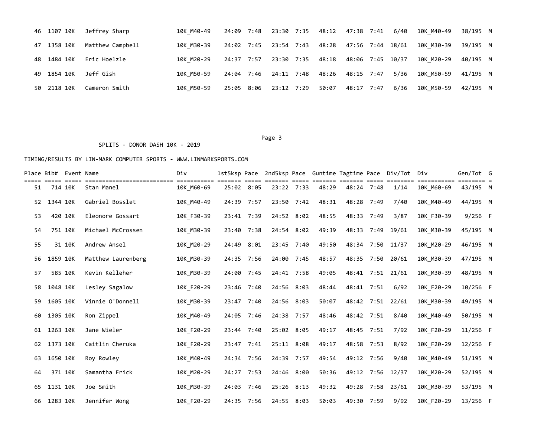| 46 1107 10K | Jeffrey Sharp    | 10K M40-49 |            |            | 24:09 7:48 23:30 7:35 48:12 47:38 7:41 |  | 6/40 | 10K M40-49 | 38/195 M |  |
|-------------|------------------|------------|------------|------------|----------------------------------------|--|------|------------|----------|--|
| 47 1358 10K | Matthew Campbell | 10K M30-39 | 24:02 7:45 |            | 23:54 7:43 48:28 47:56 7:44 18/61      |  |      | 10K M30-39 | 39/195 M |  |
| 48 1484 10K | Eric Hoelzle     | 10K M20-29 | 24:37 7:57 |            | 23:30 7:35 48:18 48:06 7:45 10/37      |  |      | 10K M20-29 | 40/195 M |  |
| 49 1854 10K | Jeff Gish        | 10K M50-59 | 24:04 7:46 |            | 24:11 7:48 48:26 48:15 7:47            |  | 5/36 | 10K M50-59 | 41/195 M |  |
| 50 2118 10K | Cameron Smith    | 10K M50-59 | 25:05 8:06 | 23:12 7:29 | 50:07 48:17 7:47                       |  | 6/36 | 10K M50-59 | 42/195 M |  |

Page 3 and the state of the state of the state of the state of the state of the state of the state of the state of the state of the state of the state of the state of the state of the state of the state of the state of the

### SPLITS - DONOR DASH 10K - 2019

|    | Place Bib# Event Name |        |                    | Div        | 1st5ksp Pace |  |            |       |            |      | 2nd5ksp Pace Guntime Tagtime Pace Div/Tot Div |            | Gen/Tot G  |  |
|----|-----------------------|--------|--------------------|------------|--------------|--|------------|-------|------------|------|-----------------------------------------------|------------|------------|--|
| 51 | 714 10K               |        | Stan Manel         | 10K M60-69 | 25:02 8:05   |  | 23:22 7:33 | 48:29 | 48:24 7:48 |      | 1/14                                          | 10K M60-69 | 43/195 M   |  |
| 52 | 1344 10K              |        | Gabriel Bosslet    | 10K M40-49 | 24:39 7:57   |  | 23:50 7:42 | 48:31 | 48:28      | 7:49 | 7/40                                          | 10K M40-49 | 44/195 M   |  |
| 53 | 420 10K               |        | Eleonore Gossart   | 10K F30-39 | 23:41 7:39   |  | 24:52 8:02 | 48:55 | 48:33      | 7:49 | 3/87                                          | 10K_F30-39 | $9/256$ F  |  |
| 54 | 751 10K               |        | Michael McCrossen  | 10K M30-39 | 23:40 7:38   |  | 24:54 8:02 | 49:39 | 48:33 7:49 |      | 19/61                                         | 10K M30-39 | 45/195 M   |  |
| 55 |                       | 31 10K | Andrew Ansel       | 10K M20-29 | 24:49 8:01   |  | 23:45 7:40 | 49:50 | 48:34 7:50 |      | 11/37                                         | 10K M20-29 | 46/195 M   |  |
| 56 | 1859 10K              |        | Matthew Laurenberg | 10K M30-39 | 24:35 7:56   |  | 24:00 7:45 | 48:57 | 48:35 7:50 |      | 20/61                                         | 10K M30-39 | 47/195 M   |  |
| 57 | 585 10K               |        | Kevin Kelleher     | 10K M30-39 | 24:00 7:45   |  | 24:41 7:58 | 49:05 | 48:41 7:51 |      | 21/61                                         | 10K M30-39 | 48/195 M   |  |
| 58 | 1048 10K              |        | Lesley Sagalow     | 10K F20-29 | 23:46 7:40   |  | 24:56 8:03 | 48:44 | 48:41 7:51 |      | 6/92                                          | 10K F20-29 | 10/256 F   |  |
| 59 | 1605 10K              |        | Vinnie O'Donnell   | 10K M30-39 | 23:47 7:40   |  | 24:56 8:03 | 50:07 | 48:42 7:51 |      | 22/61                                         | 10K M30-39 | 49/195 M   |  |
| 60 | 1305 10K              |        | Ron Zippel         | 10K_M40-49 | 24:05 7:46   |  | 24:38 7:57 | 48:46 | 48:42 7:51 |      | 8/40                                          | 10K M40-49 | 50/195 M   |  |
| 61 | 1263 10K              |        | Jane Wieler        | 10K F20-29 | 23:44 7:40   |  | 25:02 8:05 | 49:17 | 48:45 7:51 |      | 7/92                                          | 10K F20-29 | $11/256$ F |  |
| 62 | 1373 10K              |        | Caitlin Cheruka    | 10K F20-29 | 23:47 7:41   |  | 25:11 8:08 | 49:17 | 48:58 7:53 |      | 8/92                                          | 10K F20-29 | $12/256$ F |  |
| 63 | 1650 10K              |        | Roy Rowley         | 10K M40-49 | 24:34 7:56   |  | 24:39 7:57 | 49:54 | 49:12 7:56 |      | 9/40                                          | 10K M40-49 | 51/195 M   |  |
| 64 | 371 10K               |        | Samantha Frick     | 10K M20-29 | 24:27 7:53   |  | 24:46 8:00 | 50:36 | 49:12 7:56 |      | 12/37                                         | 10K_M20-29 | 52/195 M   |  |
| 65 | 1131 10K              |        | Joe Smith          | 10K M30-39 | 24:03 7:46   |  | 25:26 8:13 | 49:32 | 49:28      | 7:58 | 23/61                                         | 10K_M30-39 | 53/195 M   |  |
| 66 | 1283 10K              |        | Jennifer Wong      | 10K F20-29 | 24:35 7:56   |  | 24:55 8:03 | 50:03 | 49:30 7:59 |      | 9/92                                          | 10K F20-29 | $13/256$ F |  |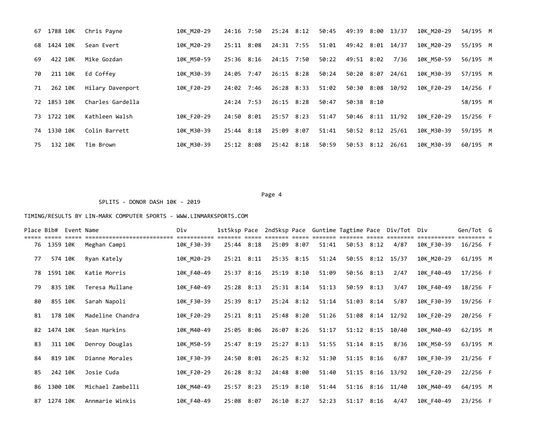| 67 | 1788 10K | Chris Payne      | 10K M20-29 | 24:16 7:50     | 25:24 8:12   | 50:45 | 49:39            | 8:00 | 13/37 | 10K M20-29 | 54/195 M |  |
|----|----------|------------------|------------|----------------|--------------|-------|------------------|------|-------|------------|----------|--|
| 68 | 1424 10K | Sean Evert       | 10K M20-29 | $25:11$ $8:08$ | 24:31 7:55   | 51:01 | 49:42 8:01 14/37 |      |       | 10K M20-29 | 55/195 M |  |
| 69 | 422 10K  | Mike Gozdan      | 10K M50-59 | 25:36 8:16     | 24:15 7:50   | 50:22 | 49:51 8:02       |      | 7/36  | 10K M50-59 | 56/195 M |  |
| 70 | 211 10K  | Ed Coffey        | 10K M30-39 | 24:05 7:47     | $26:15$ 8:28 | 50:24 | 50:20 8:07       |      | 24/61 | 10K M30-39 | 57/195 M |  |
| 71 | 262 10K  | Hilary Davenport | 10K F20-29 | 24:02 7:46     | 26:28 8:33   | 51:02 | 50:30 8:08       |      | 10/92 | 10K F20-29 | 14/256 F |  |
| 72 | 1853 10K | Charles Gardella |            | 24:24 7:53     | $26:15$ 8:28 | 50:47 | 50:38 8:10       |      |       |            | 58/195 M |  |
| 73 | 1722 10K | Kathleen Walsh   | 10K F20-29 | 24:50 8:01     | 25:57 8:23   | 51:47 | 50:46 8:11 11/92 |      |       | 10K F20-29 | 15/256 F |  |
| 74 | 1330 10K | Colin Barrett    | 10K M30-39 | $25:44$ $8:18$ | 25:09 8:07   | 51:41 | 50:52 8:12 25/61 |      |       | 10K M30-39 | 59/195 M |  |
| 75 | 132 10K  | Tim Brown        | 10K M30-39 | 25:12 8:08     | 25:42 8:18   | 50:59 | 50:53 8:12 26/61 |      |       | 10K M30-39 | 60/195 M |  |

Page 4 and the state of the state of the state of the state of the state of the state of the state of the state of the state of the state of the state of the state of the state of the state of the state of the state of the

SPLITS - DONOR DASH 10K - 2019

| Place Bib# |             | Event Name |                  | Div        | 1st5ksp Pace   |            |              | 2nd5ksp Pace Guntime Tagtime Pace |                |      | Div/Tot Div      |            | Gen/Tot G  |  |
|------------|-------------|------------|------------------|------------|----------------|------------|--------------|-----------------------------------|----------------|------|------------------|------------|------------|--|
|            |             |            |                  |            |                |            |              |                                   |                |      |                  |            |            |  |
|            | 76 1359 10K |            | Meghan Campi     | 10K F30-39 | 25:44 8:18     |            | 25:09 8:07   | 51:41                             | 50:53 8:12     |      | 4/87             | 10K F30-39 | 16/256 F   |  |
| 77         | 574 10K     |            | Ryan Kately      | 10K M20-29 | $25:21$ $8:11$ |            | 25:35 8:15   | 51:24                             |                |      | 50:55 8:12 15/37 | 10K M20-29 | 61/195 M   |  |
| 78         | 1591 10K    |            | Katie Morris     | 10K F40-49 | 25:37 8:16     |            | 25:19 8:10   | 51:09                             | 50:56 8:13     |      | 2/47             | 10K F40-49 | $17/256$ F |  |
| 79         | 835 10K     |            | Teresa Mullane   | 10K F40-49 | 25:28 8:13     |            | 25:31 8:14   | 51:13                             | 50:59 8:13     |      | 3/47             | 10K F40-49 | 18/256 F   |  |
| 80         | 855 10K     |            | Sarah Napoli     | 10K F30-39 | 25:39 8:17     |            | $25:24$ 8:12 | 51:14                             | 51:03 8:14     |      | 5/87             | 10K F30-39 | 19/256 F   |  |
| 81         | 178 10K     |            | Madeline Chandra | 10K F20-29 | $25:21$ $8:11$ |            | 25:48 8:20   | 51:26                             |                |      | 51:08 8:14 12/92 | 10K F20-29 | 20/256 F   |  |
| 82         | 1474 10K    |            | Sean Harkins     | 10K M40-49 | 25:05 8:06     |            | 26:07 8:26   | 51:17                             | 51:12 8:15     |      | 10/40            | 10K M40-49 | 62/195 M   |  |
| 83         | 311 10K     |            | Denroy Douglas   | 10K M50-59 | 25:47 8:19     |            | $25:27$ 8:13 | 51:55                             | $51:14$ $8:15$ |      | 8/36             | 10K M50-59 | 63/195 M   |  |
| 84         | 819 10K     |            | Dianne Morales   | 10K F30-39 | 24:50 8:01     |            | 26:25 8:32   | 51:30                             | 51:15 8:16     |      | 6/87             | 10K F30-39 | $21/256$ F |  |
| 85         | 242 10K     |            | Josie Cuda       | 10K F20-29 |                | 26:28 8:32 | 24:48 8:00   | 51:40                             |                |      | 51:15 8:16 13/92 | 10K F20-29 | 22/256 F   |  |
| 86         | 1300 10K    |            | Michael Zambelli | 10K M40-49 | 25:57 8:23     |            | 25:19 8:10   | 51:44                             |                |      | 51:16 8:16 11/40 | 10K M40-49 | 64/195 M   |  |
| 87         | 1274 10K    |            | Annmarie Winkis  | 10K F40-49 | 25:08 8:07     |            | 26:10 8:27   | 52:23                             | 51:17          | 8:16 | 4/47             | 10K F40-49 | 23/256 F   |  |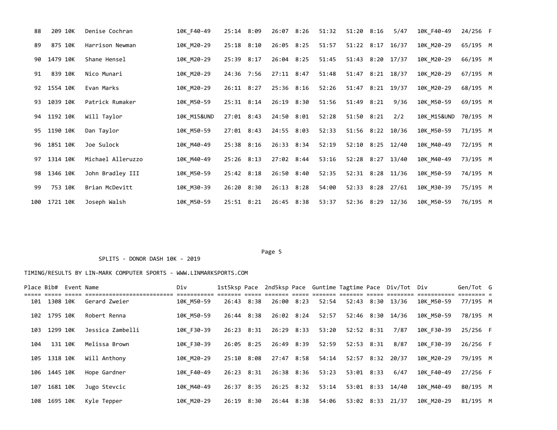| 88  | 209 10K  | Denise Cochran    | 10K F40-49             | 25:14 8:09     | 26:07 8:26     | 51:32 | 51:20 8:16       | 5/47 | 10K F40-49  | 24/256 F |  |
|-----|----------|-------------------|------------------------|----------------|----------------|-------|------------------|------|-------------|----------|--|
| 89  | 875 10K  | Harrison Newman   | 10K M20-29             | $25:18$ $8:10$ | 26:05 8:25     | 51:57 | 51:22 8:17 16/37 |      | 10K M20-29  | 65/195 M |  |
| 90  | 1479 10K | Shane Hensel      | 10K M20-29             | 25:39 8:17     | 26:04 8:25     | 51:45 | 51:43 8:20 17/37 |      | 10K M20-29  | 66/195 M |  |
| 91  | 839 10K  | Nico Munari       | 10K M20-29             | 24:36 7:56     | $27:11$ 8:47   | 51:48 | 51:47 8:21 18/37 |      | 10K M20-29  | 67/195 M |  |
| 92  | 1554 10K | Evan Marks        | 10K M20-29             | $26:11$ 8:27   | 25:36 8:16     | 52:26 | 51:47 8:21 19/37 |      | 10K M20-29  | 68/195 M |  |
| 93  | 1039 10K | Patrick Rumaker   | 10K M50-59             | $25:31$ 8:14   | 26:19 8:30     | 51:56 | 51:49 8:21       | 9/36 | 10K M50-59  | 69/195 M |  |
| 94  | 1192 10K | Will Taylor       | <b>10K M15&amp;UND</b> | $27:01$ 8:43   | 24:50 8:01     | 52:28 | $51:50$ $8:21$   | 2/2  | 10K M15&UND | 70/195 M |  |
| 95  | 1190 10K | Dan Taylor        | 10K M50-59             | $27:01$ 8:43   | 24:55 8:03     | 52:33 | 51:56 8:22 10/36 |      | 10K M50-59  | 71/195 M |  |
| 96  | 1851 10K | Joe Sulock        | 10K M40-49             | 25:38 8:16     | 26:33 8:34     | 52:19 | 52:10 8:25 12/40 |      | 10K M40-49  | 72/195 M |  |
| 97  | 1314 10K | Michael Alleruzzo | 10K M40-49             | $25:26$ 8:13   | 27:02 8:44     | 53:16 | 52:28 8:27 13/40 |      | 10K M40-49  | 73/195 M |  |
| 98  | 1346 10K | John Bradley III  | 10K M50-59             | 25:42 8:18     | 26:50 8:40     | 52:35 | 52:31 8:28 11/36 |      | 10K M50-59  | 74/195 M |  |
| 99  | 753 10K  | Brian McDevitt    | 10K M30-39             | 26:20 8:30     | $26:13$ $8:28$ | 54:00 | 52:33 8:28 27/61 |      | 10K M30-39  | 75/195 M |  |
| 100 | 1721 10K | Joseph Walsh      | 10K M50-59             | 25:51 8:21     | 26:45 8:38     | 53:37 | 52:36 8:29 12/36 |      | 10K M50-59  | 76/195 M |  |

#### Page 5 and the state of the state of the state of the state of the state of the state of the state of the state of the state of the state of the state of the state of the state of the state of the state of the state of the

#### SPLITS - DONOR DASH 10K - 2019

|     |              | Place Bib# Event Name |                  | Div        |            |            |       |            | 1st5ksp Pace 2nd5ksp Pace Guntime Tagtime Pace Div/Tot Div |            | Gen/Tot G |  |
|-----|--------------|-----------------------|------------------|------------|------------|------------|-------|------------|------------------------------------------------------------|------------|-----------|--|
|     | 101 1308 10K |                       | Gerard Zweier    | 10K M50-59 | 26:43 8:38 | 26:00 8:23 | 52:54 |            | 52:43 8:30 13/36                                           | 10K M50-59 | 77/195 M  |  |
|     | 102 1795 10K |                       | Robert Renna     | 10K M50-59 | 26:44 8:38 | 26:02 8:24 | 52:57 |            | 52:46 8:30 14/36                                           | 10K M50-59 | 78/195 M  |  |
| 103 | 1299 10K     |                       | Jessica Zambelli | 10K F30-39 | 26:23 8:31 | 26:29 8:33 | 53:20 | 52:52 8:31 | 7/87                                                       | 10K F30-39 | 25/256 F  |  |
| 104 | 131 10K      |                       | Melissa Brown    | 10K F30-39 | 26:05 8:25 | 26:49 8:39 | 52:59 | 52:53 8:31 | 8/87                                                       | 10K F30-39 | 26/256 F  |  |
|     | 105 1318 10K |                       | Will Anthony     | 10K M20-29 | 25:10 8:08 | 27:47 8:58 | 54:14 |            | 52:57 8:32 20/37                                           | 10K M20-29 | 79/195 M  |  |
|     | 106 1445 10K |                       | Hope Gardner     | 10K F40-49 | 26:23 8:31 | 26:38 8:36 | 53:23 | 53:01 8:33 | 6/47                                                       | 10K F40-49 | 27/256 F  |  |
| 107 | 1681 10K     |                       | Jugo Stevcic     | 10K M40-49 | 26:37 8:35 | 26:25 8:32 | 53:14 |            | 53:01 8:33 14/40                                           | 10K M40-49 | 80/195 M  |  |
|     | 108 1695 10K |                       | Kyle Tepper      | 10K M20-29 | 26:19 8:30 | 26:44 8:38 | 54:06 |            | 53:02 8:33 21/37                                           | 10K M20-29 | 81/195 M  |  |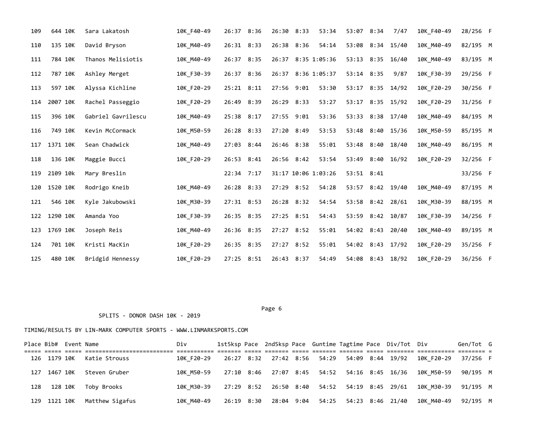| 109 | 644 10K  | Sara Lakatosh      | 10K F40-49 | 26:37 8:36   | 26:30 8:33   | 53:34               | 53:07 8:34       |      | 7/47             | 10K F40-49 | 28/256 F |  |
|-----|----------|--------------------|------------|--------------|--------------|---------------------|------------------|------|------------------|------------|----------|--|
| 110 | 135 10K  | David Bryson       | 10K M40-49 | 26:31 8:33   | 26:38 8:36   | 54:14               | 53:08 8:34 15/40 |      |                  | 10K M40-49 | 82/195 M |  |
| 111 | 784 10K  | Thanos Melisiotis  | 10K M40-49 | 26:37 8:35   |              | 26:37 8:35 1:05:36  | 53:13            | 8:35 | 16/40            | 10K M40-49 | 83/195 M |  |
| 112 | 787 10K  | Ashley Merget      | 10K F30-39 | 26:37 8:36   | 26:37        | 8:36 1:05:37        | 53:14 8:35       |      | 9/87             | 10K F30-39 | 29/256 F |  |
| 113 | 597 10K  | Alyssa Kichline    | 10K F20-29 | 25:21 8:11   | 27:56 9:01   | 53:30               | 53:17            |      | 8:35 14/92       | 10K F20-29 | 30/256 F |  |
| 114 | 2007 10K | Rachel Passeggio   | 10K F20-29 | 26:49 8:39   | 26:29 8:33   | 53:27               | 53:17            |      | 8:35 15/92       | 10K F20-29 | 31/256 F |  |
| 115 | 396 10K  | Gabriel Gavrilescu | 10K M40-49 | 25:38 8:17   | 27:55 9:01   | 53:36               | 53:33 8:38 17/40 |      |                  | 10K M40-49 | 84/195 M |  |
| 116 | 749 10K  | Kevin McCormack    | 10K M50-59 | 26:28 8:33   | 27:20 8:49   | 53:53               | 53:48            | 8:40 | 15/36            | 10K M50-59 | 85/195 M |  |
| 117 | 1371 10K | Sean Chadwick      | 10K M40-49 | 27:03 8:44   | 26:46 8:38   | 55:01               | 53:48 8:40       |      | 18/40            | 10K M40-49 | 86/195 M |  |
| 118 | 136 10K  | Maggie Bucci       | 10K F20-29 | 26:53 8:41   | 26:56 8:42   | 53:54               | 53:49            |      | 8:40 16/92       | 10K F20-29 | 32/256 F |  |
| 119 | 2109 10k | Mary Breslin       |            | 22:34 7:17   |              | 31:17 10:06 1:03:26 | 53:51 8:41       |      |                  |            | 33/256 F |  |
| 120 | 1520 10K | Rodrigo Kneib      | 10K M40-49 | 26:28 8:33   | 27:29 8:52   | 54:28               | 53:57            |      | 8:42 19/40       | 10K M40-49 | 87/195 M |  |
| 121 | 546 10K  | Kyle Jakubowski    | 10K M30-39 | $27:31$ 8:53 | 26:28 8:32   | 54:54               | 53:58 8:42 28/61 |      |                  | 10K_M30-39 | 88/195 M |  |
| 122 | 1290 10K | Amanda Yoo         | 10K_F30-39 | 26:35 8:35   | 27:25 8:51   | 54:43               | 53:59            |      | 8:42 10/87       | 10K F30-39 | 34/256 F |  |
| 123 | 1769 10K | Joseph Reis        | 10K M40-49 | 26:36 8:35   | $27:27$ 8:52 | 55:01               | 54:02 8:43       |      | 20/40            | 10K M40-49 | 89/195 M |  |
| 124 | 701 10K  | Kristi MacKin      | 10K F20-29 | 26:35 8:35   | $27:27$ 8:52 | 55:01               | 54:02 8:43       |      | 17/92            | 10K_F20-29 | 35/256 F |  |
| 125 | 480 10K  | Bridgid Hennessy   | 10K F20-29 | 27:25 8:51   | 26:43 8:37   | 54:49               |                  |      | 54:08 8:43 18/92 | 10K F20-29 | 36/256 F |  |

Page 6 and the contract of the contract of the contract of the contract of the contract of the contract of the contract of the contract of the contract of the contract of the contract of the contract of the contract of the

# TIMING/RESULTS BY LIN-MARK COMPUTER SPORTS - WWW.LINMARKSPORTS.COM

SPLITS - DONOR DASH 10K - 2019

| Place Bib# Event Name |                              | Div                                                                         |  |  |  | 1st5ksp Pace 2nd5ksp Pace Guntime Tagtime Pace Div/Tot Div |                     | Gen/Tot G |  |
|-----------------------|------------------------------|-----------------------------------------------------------------------------|--|--|--|------------------------------------------------------------|---------------------|-----------|--|
|                       | 126 1179 10K Katie Strouss   | 10K F20-29 26:27 8:32 27:42 8:56 54:29 54:09 8:44 19/92 10K F20-29 37/256 F |  |  |  |                                                            |                     |           |  |
| 127 1467 10K          | Steven Gruber                | 10K M50-59 27:10 8:46 27:07 8:45 54:52 54:16 8:45 16/36 10K M50-59 90/195 M |  |  |  |                                                            |                     |           |  |
| 128 128 10K           | Toby Brooks                  | 10K M30-39 27:29 8:52 26:50 8:40 54:52 54:19 8:45 29/61 10K M30-39 91/195 M |  |  |  |                                                            |                     |           |  |
|                       | 129 1121 10K Matthew Sigafus | 10K M40-49   26:19   8:30   28:04   9:04   54:25   54:23   8:46   21/40     |  |  |  |                                                            | 10K M40-49 92/195 M |           |  |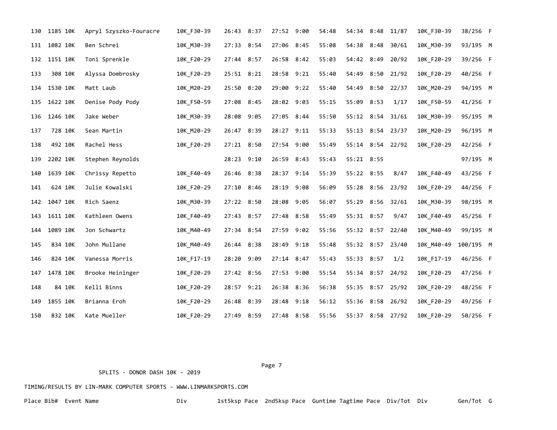| 130 | 1185 10K | Apryl Szyszko-Fouracre | 10K F30-39 | 26:43 8:37 | 27:52 9:00 |      | 54:48 | 54:34 8:48       |      | 11/87            | 10K F30-39 | 38/256 F  |  |
|-----|----------|------------------------|------------|------------|------------|------|-------|------------------|------|------------------|------------|-----------|--|
| 131 | 1082 10K | Ben Schrei             | 10K M30-39 | 27:33 8:54 | 27:06 8:45 |      | 55:08 | 54:38            | 8:48 | 30/61            | 10K M30-39 | 93/195 M  |  |
| 132 | 1151 10K | Toni Sprenkle          | 10K F20-29 | 27:44 8:57 | 26:58 8:42 |      | 55:03 | 54:42 8:49       |      | 20/92            | 10K F20-29 | 39/256 F  |  |
| 133 | 308 10K  | Alyssa Dombrosky       | 10K_F20-29 | 25:51 8:21 | 28:58 9:21 |      | 55:40 | 54:49            |      | 8:50 21/92       | 10K F20-29 | 40/256 F  |  |
| 134 | 1530 10K | Matt Laub              | 10K M20-29 | 25:50 8:20 | 29:00 9:22 |      | 55:40 | 54:49            | 8:50 | 22/37            | 10K M20-29 | 94/195 M  |  |
| 135 | 1622 10K | Denise Pody Pody       | 10K F50-59 | 27:08 8:45 | 28:02 9:03 |      | 55:15 | 55:09 8:53       |      | 1/17             | 10K F50-59 | 41/256 F  |  |
| 136 | 1246 10K | Jake Weber             | 10K_M30-39 | 28:08 9:05 | 27:05      | 8:44 | 55:50 | 55:12 8:54       |      | 31/61            | 10K_M30-39 | 95/195 M  |  |
| 137 | 728 10K  | Sean Martin            | 10K M20-29 | 26:47 8:39 | 28:27 9:11 |      | 55:33 | 55:13 8:54 23/37 |      |                  | 10K M20-29 | 96/195 M  |  |
| 138 | 492 10K  | Rachel Hess            | 10K F20-29 | 27:21 8:50 | 27:54 9:00 |      | 55:49 |                  |      | 55:14 8:54 22/92 | 10K F20-29 | 42/256 F  |  |
| 139 | 2202 10K | Stephen Reynolds       |            | 28:23 9:10 | 26:59 8:43 |      | 55:43 | 55:21 8:55       |      |                  |            | 97/195 M  |  |
| 140 | 1639 10K | Chrissy Repetto        | 10K F40-49 | 26:46 8:38 | 28:37 9:14 |      | 55:39 | 55:22 8:55       |      | 8/47             | 10K F40-49 | 43/256 F  |  |
| 141 | 624 10K  | Julie Kowalski         | 10K F20-29 | 27:10 8:46 | 28:19      | 9:08 | 56:09 | 55:28            | 8:56 | 23/92            | 10K F20-29 | 44/256 F  |  |
| 142 | 1047 10K | Rich Saenz             | 10K M30-39 | 27:22 8:50 | 28:08 9:05 |      | 56:07 | 55:29            | 8:56 | 32/61            | 10K M30-39 | 98/195 M  |  |
| 143 | 1611 10K | Kathleen Owens         | 10K F40-49 | 27:43 8:57 | 27:48 8:58 |      | 55:49 | 55:31 8:57       |      | 9/47             | 10K F40-49 | 45/256 F  |  |
| 144 | 1089 10K | Jon Schwartz           | 10K M40-49 | 27:34 8:54 | 27:59 9:02 |      | 55:56 | 55:32 8:57 22/40 |      |                  | 10K M40-49 | 99/195 M  |  |
| 145 | 834 10K  | John Mullane           | 10K M40-49 | 26:44 8:38 | 28:49 9:18 |      | 55:48 | 55:32 8:57 23/40 |      |                  | 10K M40-49 | 100/195 M |  |
| 146 | 824 10K  | Vanessa Morris         | 10K F17-19 | 28:20 9:09 | 27:14 8:47 |      | 55:43 | 55:33 8:57       |      | 1/2              | 10K_F17-19 | 46/256 F  |  |
| 147 | 1478 10K | Brooke Heininger       | 10K_F20-29 | 27:42 8:56 | 27:53 9:00 |      | 55:54 | 55:34 8:57       |      | 24/92            | 10K F20-29 | 47/256 F  |  |
| 148 | 84 10K   | Kelli Binns            | 10K F20-29 | 28:57 9:21 | 26:38 8:36 |      | 56:38 | 55:35 8:57 25/92 |      |                  | 10K F20-29 | 48/256 F  |  |
| 149 | 1855 10K | Brianna Eroh           | 10K F20-29 | 26:48 8:39 | 28:48      | 9:18 | 56:12 | 55:36            | 8:58 | 26/92            | 10K F20-29 | 49/256 F  |  |
| 150 | 832 10K  | Kate Mueller           | 10K F20-29 | 27:49 8:59 | 27:48 8:58 |      | 55:56 |                  |      | 55:37 8:58 27/92 | 10K F20-29 | 50/256 F  |  |

Page 7 and the contract of the contract of the contract of the contract of the contract of the contract of the contract of the contract of the contract of the contract of the contract of the contract of the contract of the

SPLITS - DONOR DASH 10K - 2019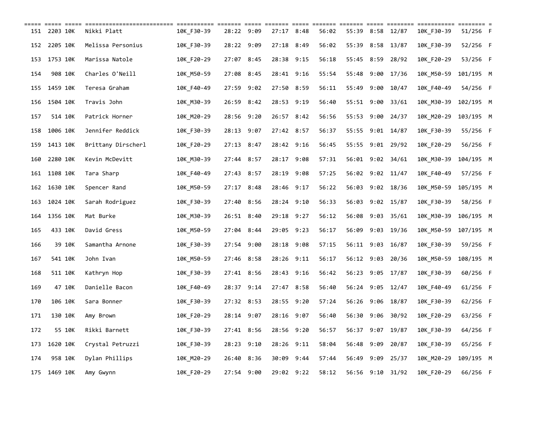| 151 | 2203 10K     | Nikki Platt        | 10K F30-39 | 28:22      | 9:09 | 27:17 8:48 |      | 56:02 | 55:39      | 8:58 | 12/87        | 10K F30-39 | 51/256 F   |  |
|-----|--------------|--------------------|------------|------------|------|------------|------|-------|------------|------|--------------|------------|------------|--|
| 152 | 2205 10K     | Melissa Personius  | 10K F30-39 | 28:22 9:09 |      | 27:18 8:49 |      | 56:02 | 55:39      |      | 8:58 13/87   | 10K F30-39 | 52/256 F   |  |
| 153 | 1753 10K     | Marissa Natole     | 10K F20-29 | 27:07 8:45 |      | 28:38 9:15 |      | 56:18 | 55:45 8:59 |      | 28/92        | 10K F20-29 | 53/256 F   |  |
| 154 | 908 10K      | Charles O'Neill    | 10K M50-59 | 27:08      | 8:45 | 28:41 9:16 |      | 55:54 | 55:48      | 9:00 | 17/36        | 10K M50-59 | 101/195 M  |  |
| 155 | 1459 10K     | Teresa Graham      | 10K F40-49 | 27:59      | 9:02 | 27:50 8:59 |      | 56:11 | 55:49      | 9:00 | 10/47        | 10K F40-49 | 54/256 F   |  |
| 156 | 1504 10K     | Travis John        | 10K M30-39 | 26:59      | 8:42 | 28:53 9:19 |      | 56:40 | 55:51 9:00 |      | 33/61        | 10K M30-39 | 102/195 M  |  |
| 157 | 514 10K      | Patrick Horner     | 10K M20-29 | 28:56      | 9:20 | 26:57 8:42 |      | 56:56 | 55:53      | 9:00 | 24/37        | 10K_M20-29 | 103/195 M  |  |
| 158 | 1006 10K     | Jennifer Reddick   | 10K F30-39 | 28:13 9:07 |      | 27:42 8:57 |      | 56:37 | 55:55      |      | 9:01 14/87   | 10K F30-39 | 55/256 F   |  |
| 159 | 1413 10K     | Brittany Dirscherl | 10K F20-29 | 27:13 8:47 |      | 28:42 9:16 |      | 56:45 | 55:55      | 9:01 | 29/92        | 10K F20-29 | 56/256 F   |  |
| 160 | 2280 10K     | Kevin McDevitt     | 10K M30-39 | 27:44 8:57 |      | 28:17 9:08 |      | 57:31 | 56:01      | 9:02 | 34/61        | 10K M30-39 | 104/195 M  |  |
| 161 | 1108 10K     | Tara Sharp         | 10K F40-49 | 27:43 8:57 |      | 28:19      | 9:08 | 57:25 | 56:02      | 9:02 | 11/47        | 10K F40-49 | 57/256 F   |  |
| 162 | 1630 10K     | Spencer Rand       | 10K M50-59 | 27:17 8:48 |      | 28:46 9:17 |      | 56:22 | 56:03      |      | 9:02 18/36   | 10K_M50-59 | 105/195 M  |  |
| 163 | 1024 10K     | Sarah Rodriguez    | 10K F30-39 | 27:40      | 8:56 | 28:24 9:10 |      | 56:33 | 56:03      |      | $9:02$ 15/87 | 10K F30-39 | 58/256 F   |  |
| 164 | 1356 10K     | Mat Burke          | 10K M30-39 | 26:51 8:40 |      | 29:18 9:27 |      | 56:12 | 56:08      | 9:03 | 35/61        | 10K_M30-39 | 106/195 M  |  |
| 165 | 433 10K      | David Gress        | 10K M50-59 | 27:04      | 8:44 | 29:05      | 9:23 | 56:17 | 56:09      | 9:03 | 19/36        | 10K M50-59 | 107/195 M  |  |
| 166 | 39 10K       | Samantha Arnone    | 10K F30-39 | 27:54      | 9:00 | 28:18 9:08 |      | 57:15 | 56:11 9:03 |      | 16/87        | 10K F30-39 | 59/256 F   |  |
| 167 | 541 10K      | John Ivan          | 10K M50-59 | 27:46      | 8:58 | 28:26      | 9:11 | 56:17 | 56:12      | 9:03 | 20/36        | 10K M50-59 | 108/195 M  |  |
| 168 | 511 10K      | Kathryn Hop        | 10K F30-39 | 27:41 8:56 |      | 28:43 9:16 |      | 56:42 | 56:23      | 9:05 | 17/87        | 10K F30-39 | 60/256 F   |  |
| 169 | 47 10K       | Danielle Bacon     | 10K F40-49 | 28:37      | 9:14 | 27:47      | 8:58 | 56:40 | 56:24      | 9:05 | 12/47        | 10K F40-49 | $61/256$ F |  |
| 170 | 106 10K      | Sara Bonner        | 10K F30-39 | 27:32 8:53 |      | 28:55 9:20 |      | 57:24 | 56:26      | 9:06 | 18/87        | 10K F30-39 | $62/256$ F |  |
| 171 | 130 10K      | Amy Brown          | 10K F20-29 | 28:14      | 9:07 | 28:16      | 9:07 | 56:40 | 56:30      | 9:06 | 30/92        | 10K F20-29 | 63/256 F   |  |
| 172 | 55 10K       | Rikki Barnett      | 10K F30-39 | 27:41 8:56 |      | 28:56      | 9:20 | 56:57 | 56:37      | 9:07 | 19/87        | 10K F30-39 | 64/256 F   |  |
| 173 | 1620 10K     | Crystal Petruzzi   | 10K F30-39 | 28:23      | 9:10 | 28:26      | 9:11 | 58:04 | 56:48      | 9:09 | 20/87        | 10K F30-39 | 65/256 F   |  |
| 174 | 958 10K      | Dylan Phillips     | 10K M20-29 | 26:40      | 8:36 | 30:09      | 9:44 | 57:44 | 56:49      | 9:09 | 25/37        | 10K M20-29 | 109/195 M  |  |
|     | 175 1469 10K | Amy Gwynn          | 10K F20-29 | 27:54 9:00 |      | 29:02 9:22 |      | 58:12 | 56:56 9:10 |      | 31/92        | 10K_F20-29 | 66/256 F   |  |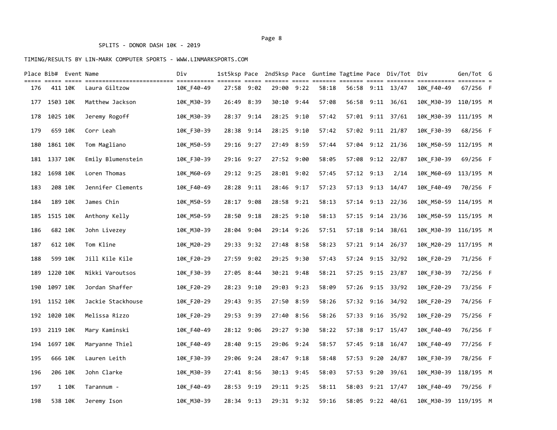|     |          | Place Bib# Event Name |                   | Div        |            |      |            |            |       |            |            | 1st5ksp Pace  2nd5ksp Pace  Guntime Tagtime Pace  Div/Tot  Div |            | Gen/Tot G  |  |
|-----|----------|-----------------------|-------------------|------------|------------|------|------------|------------|-------|------------|------------|----------------------------------------------------------------|------------|------------|--|
| 176 |          | 411 10K               | Laura Giltzow     | 10K F40-49 | 27:58 9:02 |      |            | 29:00 9:22 | 58:18 |            |            | 56:58 9:11 13/47                                               | 10K F40-49 | $67/256$ F |  |
| 177 | 1503 10K |                       | Matthew Jackson   | 10K M30-39 | 26:49      | 8:39 | 30:10      | 9:44       | 57:08 | 56:58      | 9:11       | 36/61                                                          | 10K M30-39 | 110/195 M  |  |
| 178 | 1025 10K |                       | Jeremy Rogoff     | 10K_M30-39 | 28:37      | 9:14 | 28:25 9:10 |            | 57:42 |            |            | 57:01 9:11 37/61                                               | 10K M30-39 | 111/195 M  |  |
| 179 |          | 659 10K               | Corr Leah         | 10K_F30-39 | 28:38 9:14 |      |            | 28:25 9:10 | 57:42 |            |            | 57:02 9:11 21/87                                               | 10K_F30-39 | 68/256 F   |  |
| 180 | 1861 10K |                       | Tom Magliano      | 10K M50-59 | 29:16 9:27 |      |            | 27:49 8:59 | 57:44 |            |            | 57:04 9:12 21/36                                               | 10K M50-59 | 112/195 M  |  |
| 181 | 1337 10K |                       | Emily Blumenstein | 10K_F30-39 | 29:16 9:27 |      |            | 27:52 9:00 | 58:05 | 57:08      | 9:12       | 22/87                                                          | 10K F30-39 | 69/256 F   |  |
| 182 | 1698 10K |                       | Loren Thomas      | 10K_M60-69 | 29:12 9:25 |      |            | 28:01 9:02 | 57:45 | 57:12 9:13 |            | 2/14                                                           | 10K M60-69 | 113/195 M  |  |
| 183 |          | 208 10K               | Jennifer Clements | 10K F40-49 | 28:28 9:11 |      | 28:46      | 9:17       | 57:23 | 57:13      | 9:13       | 14/47                                                          | 10K F40-49 | 70/256 F   |  |
| 184 |          | 189 10K               | James Chin        | 10K_M50-59 | 28:17 9:08 |      | 28:58 9:21 |            | 58:13 |            | 57:14 9:13 | 22/36                                                          | 10K M50-59 | 114/195 M  |  |
| 185 | 1515 10K |                       | Anthony Kelly     | 10K_M50-59 | 28:50      | 9:18 | 28:25 9:10 |            | 58:13 |            | 57:15 9:14 | 23/36                                                          | 10K M50-59 | 115/195 M  |  |
| 186 |          | 682 10K               | John Livezey      | 10K M30-39 | 28:04      | 9:04 |            | 29:14 9:26 | 57:51 | 57:18      | 9:14       | 38/61                                                          | 10K M30-39 | 116/195 M  |  |
| 187 |          | 612 10K               | Tom Kline         | 10K M20-29 | 29:33      | 9:32 |            | 27:48 8:58 | 58:23 | 57:21      | 9:14       | 26/37                                                          | 10K_M20-29 | 117/195 M  |  |
| 188 |          | 599 10K               | Jill Kile Kile    | 10K F20-29 | 27:59      | 9:02 |            | 29:25 9:30 | 57:43 |            | 57:24 9:15 | 32/92                                                          | 10K F20-29 | 71/256 F   |  |
| 189 | 1220 10K |                       | Nikki Varoutsos   | 10K F30-39 | 27:05 8:44 |      |            | 30:21 9:48 | 58:21 | 57:25      | 9:15       | 23/87                                                          | 10K F30-39 | 72/256 F   |  |
| 190 | 1097 10K |                       | Jordan Shaffer    | 10K_F20-29 | 28:23      | 9:10 |            | 29:03 9:23 | 58:09 | 57:26      | 9:15       | 33/92                                                          | 10K_F20-29 | 73/256 F   |  |
| 191 | 1152 10K |                       | Jackie Stackhouse | 10K_F20-29 | 29:43 9:35 |      |            | 27:50 8:59 | 58:26 |            | 57:32 9:16 | 34/92                                                          | 10K_F20-29 | 74/256 F   |  |
| 192 | 1020 10K |                       | Melissa Rizzo     | 10K F20-29 | 29:53 9:39 |      |            | 27:40 8:56 | 58:26 | 57:33      | 9:16       | 35/92                                                          | 10K_F20-29 | 75/256 F   |  |
| 193 | 2119 10K |                       | Mary Kaminski     | 10K_F40-49 | 28:12 9:06 |      |            | 29:27 9:30 | 58:22 | 57:38      | 9:17       | 15/47                                                          | 10K_F40-49 | 76/256 F   |  |
| 194 | 1697 10K |                       | Maryanne Thiel    | 10K_F40-49 | 28:40      | 9:15 |            | 29:06 9:24 | 58:57 | 57:45      | 9:18       | 16/47                                                          | 10K_F40-49 | 77/256 F   |  |
| 195 |          | 666 10K               | Lauren Leith      | 10K F30-39 | 29:06      | 9:24 |            | 28:47 9:18 | 58:48 | 57:53      | 9:20       | 24/87                                                          | 10K_F30-39 | 78/256 F   |  |
| 196 |          | 206 10K               | John Clarke       | 10K_M30-39 | 27:41 8:56 |      |            | 30:13 9:45 | 58:03 |            | 57:53 9:20 | 39/61                                                          | 10K_M30-39 | 118/195 M  |  |
| 197 |          | 1 10K                 | Tarannum -        | 10K F40-49 | 28:53 9:19 |      | 29:11 9:25 |            | 58:11 | 58:03      |            | 9:21 17/47                                                     | 10K_F40-49 | 79/256 F   |  |
| 198 |          | 538 10K               | Jeremy Ison       | 10K M30-39 | 28:34 9:13 |      |            | 29:31 9:32 | 59:16 |            |            | 58:05 9:22 40/61                                               | 10K M30-39 | 119/195 M  |  |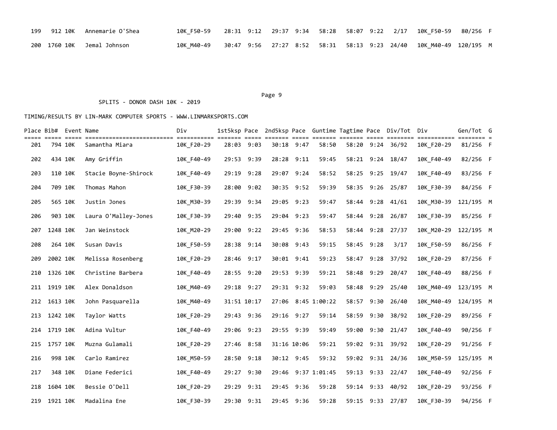|  | 199 912 10K Annemarie O'Shea | 10K F50-59 28:31 9:12 29:37 9:34 58:28 58:07 9:22 2/17 10K F50-59 80/256 F |  |  |  |  |                                                                   |  |
|--|------------------------------|----------------------------------------------------------------------------|--|--|--|--|-------------------------------------------------------------------|--|
|  | 200 1760 10K Jemal Johnson   | 10K M40-49                                                                 |  |  |  |  | 30:47 9:56 27:27 8:52 58:31 58:13 9:23 24/40 10K M40-49 120/195 M |  |

#### Page 9 and 2012 and 2012 and 2012 and 2012 and 2012 and 2012 and 2012 and 2012 and 2012 and 2012 and 2012 and

#### SPLITS - DONOR DASH 10K - 2019

|     | Place Bib# Event Name |            |                      | Div        |             |            |       |             |                    |       |            | 1st5ksp Pace 2nd5ksp Pace Guntime Tagtime Pace Div/Tot Div |            | Gen/Tot G |  |
|-----|-----------------------|------------|----------------------|------------|-------------|------------|-------|-------------|--------------------|-------|------------|------------------------------------------------------------|------------|-----------|--|
| 201 | 794 10K               | ==== ===== | Samantha Miara       | 10K F20-29 | 28:03 9:03  |            |       | 30:18 9:47  | 58:50              |       |            | 58:20 9:24 36/92                                           | 10K F20-29 | 81/256 F  |  |
| 202 | 434 10K               |            | Amy Griffin          | 10K F40-49 | 29:53       | 9:39       | 28:28 | 9:11        | 59:45              | 58:21 |            | $9:24$ 18/47                                               | 10K F40-49 | 82/256 F  |  |
| 203 | 110 10K               |            | Stacie Boyne-Shirock | 10K F40-49 | 29:19 9:28  |            |       | 29:07 9:24  | 58:52              | 58:25 |            | 9:25 19/47                                                 | 10K F40-49 | 83/256 F  |  |
| 204 | 709 10K               |            | Thomas Mahon         | 10K F30-39 | 28:00 9:02  |            |       | 30:35 9:52  | 59:39              | 58:35 |            | 9:26 25/87                                                 | 10K F30-39 | 84/256 F  |  |
| 205 | 565 10K               |            | Justin Jones         | 10K M30-39 |             | 29:39 9:34 |       | 29:05 9:23  | 59:47              | 58:44 | 9:28       | 41/61                                                      | 10K M30-39 | 121/195 M |  |
| 206 | 903 10K               |            | Laura O'Malley-Jones | 10K F30-39 | 29:40 9:35  |            |       | 29:04 9:23  | 59:47              |       |            | 58:44 9:28 26/87                                           | 10K F30-39 | 85/256 F  |  |
| 207 | 1248 10K              |            | Jan Weinstock        | 10K M20-29 | 29:00 9:22  |            |       | 29:45 9:36  | 58:53              | 58:44 | 9:28       | 27/37                                                      | 10K M20-29 | 122/195 M |  |
| 208 | 264 10K               |            | Susan Davis          | 10K F50-59 | 28:38 9:14  |            |       | 30:08 9:43  | 59:15              |       | 58:45 9:28 | 3/17                                                       | 10K F50-59 | 86/256 F  |  |
| 209 | 2002 10K              |            | Melissa Rosenberg    | 10K F20-29 | 28:46 9:17  |            |       | 30:01 9:41  | 59:23              |       |            | 58:47 9:28 37/92                                           | 10K F20-29 | 87/256 F  |  |
| 210 | 1326 10K              |            | Christine Barbera    | 10K F40-49 | 28:55 9:20  |            |       | 29:53 9:39  | 59:21              |       | 58:48 9:29 | 20/47                                                      | 10K F40-49 | 88/256 F  |  |
| 211 | 1919 10K              |            | Alex Donaldson       | 10K_M40-49 | 29:18 9:27  |            |       | 29:31 9:32  | 59:03              | 58:48 | 9:29       | 25/40                                                      | 10K M40-49 | 123/195 M |  |
| 212 | 1613 10K              |            | John Pasquarella     | 10K M40-49 | 31:51 10:17 |            |       |             | 27:06 8:45 1:00:22 | 58:57 | 9:30       | 26/40                                                      | 10K M40-49 | 124/195 M |  |
| 213 | 1242 10K              |            | Taylor Watts         | 10K F20-29 | 29:43 9:36  |            |       | 29:16 9:27  | 59:14              | 58:59 | 9:30       | 38/92                                                      | 10K F20-29 | 89/256 F  |  |
| 214 | 1719 10K              |            | Adina Vultur         | 10K F40-49 | 29:06 9:23  |            |       | 29:55 9:39  | 59:49              | 59:00 | 9:30       | 21/47                                                      | 10K F40-49 | 90/256 F  |  |
| 215 | 1757 10K              |            | Muzna Gulamali       | 10K F20-29 | 27:46 8:58  |            |       | 31:16 10:06 | 59:21              |       |            | 59:02 9:31 39/92                                           | 10K F20-29 | 91/256 F  |  |
| 216 | 998 10K               |            | Carlo Ramirez        | 10K M50-59 | 28:50       | 9:18       |       | 30:12 9:45  | 59:32              | 59:02 |            | $9:31$ 24/36                                               | 10K M50-59 | 125/195 M |  |
| 217 |                       | 348 10K    | Diane Federici       | 10K F40-49 | 29:27 9:30  |            | 29:46 |             | 9:37 1:01:45       | 59:13 | 9:33       | 22/47                                                      | 10K F40-49 | 92/256 F  |  |
| 218 | 1604 10K              |            | Bessie O'Dell        | 10K F20-29 | 29:29       | 9:31       | 29:45 | 9:36        | 59:28              |       | 59:14 9:33 | 40/92                                                      | 10K F20-29 | 93/256 F  |  |
| 219 | 1921 10K              |            | Madalina Ene         | 10K F30-39 | 29:30 9:31  |            |       | 29:45 9:36  | 59:28              |       |            | 59:15 9:33 27/87                                           | 10K F30-39 | 94/256 F  |  |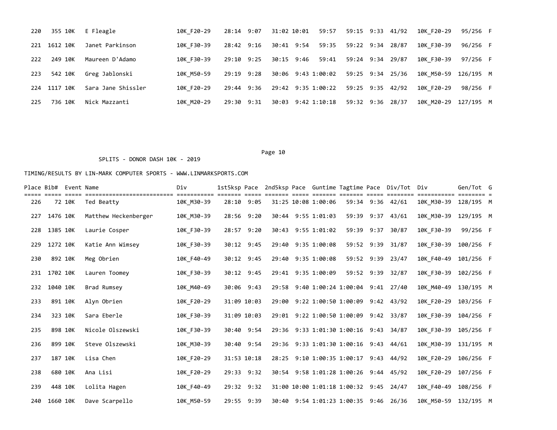| 220  | 355 10K      | E Fleagle          | 10K F20-29 | 28:14 9:07 |  | 31:02 10:01  59:57  59:15  9:33  41/92 |                  |  | 10K F20-29           | 95/256 F |  |
|------|--------------|--------------------|------------|------------|--|----------------------------------------|------------------|--|----------------------|----------|--|
|      | 221 1612 10K | Janet Parkinson    | 10K F30-39 | 28:42 9:16 |  | 30:41 9:54 59:35 59:22 9:34 28/87      |                  |  | 10K F30-39           | 96/256 F |  |
| 222  | 249 10K      | Maureen D'Adamo    | 10K F30-39 | 29:10 9:25 |  | 30:15 9:46 59:41 59:24 9:34 29/87      |                  |  | 10K F30-39           | 97/256 F |  |
| 223  | 542 10K      | Greg Jablonski     | 10K M50-59 | 29:19 9:28 |  | 30:06 9:43 1:00:02 59:25 9:34 25/36    |                  |  | 10K M50-59 126/195 M |          |  |
|      | 224 1117 10K | Sara Jane Shissler | 10K F20-29 | 29:44 9:36 |  | 29:42 9:35 1:00:22 59:25 9:35 42/92    |                  |  | 10K F20-29           | 98/256 F |  |
| 225. | 736 10K      | Nick Mazzanti      | 10K M20-29 | 29:30 9:31 |  | 30:03 9:42 1:10:18                     | 59:32 9:36 28/37 |  | 10K M20-29 127/195 M |          |  |

# SPLITS - DONOR DASH 10K - 2019

|     |          | Place Bib# Event Name |                      | Div        | 1st5ksp Pace |       | 2nd5ksp Pace Guntime Tagtime Pace Div/Tot |            |            |                  | Div        | Gen/Tot G |  |
|-----|----------|-----------------------|----------------------|------------|--------------|-------|-------------------------------------------|------------|------------|------------------|------------|-----------|--|
| 226 |          | 72 10K                | Ted Beatty           | 10K M30-39 | 28:10 9:05   |       | 31:25 10:08 1:00:06                       |            |            | 59:34 9:36 42/61 | 10K M30-39 | 128/195 M |  |
| 227 | 1476 10K |                       | Matthew Heckenberger | 10K_M30-39 | 28:56 9:20   |       | 30:44 9:55 1:01:03                        | 59:39      |            | $9:37$ $43/61$   | 10K M30-39 | 129/195 M |  |
| 228 | 1385 10K |                       | Laurie Cosper        | 10K F30-39 | 28:57 9:20   |       | 30:43 9:55 1:01:02                        |            | 59:39 9:37 | 30/87            | 10K F30-39 | 99/256 F  |  |
| 229 | 1272 10K |                       | Katie Ann Wimsey     | 10K F30-39 | 30:12 9:45   |       | 29:40 9:35 1:00:08                        | 59:52      | 9:39       | 31/87            | 10K F30-39 | 100/256 F |  |
| 230 | 892 10K  |                       | Meg Obrien           | 10K F40-49 | 30:12 9:45   |       | 29:40 9:35 1:00:08                        |            |            | 59:52 9:39 23/47 | 10K F40-49 | 101/256 F |  |
| 231 | 1702 10K |                       | Lauren Toomey        | 10K F30-39 | 30:12 9:45   |       | 29:41 9:35 1:00:09                        | 59:52 9:39 |            | 32/87            | 10K F30-39 | 102/256 F |  |
| 232 | 1040 10K |                       | Brad Rumsey          | 10K M40-49 | 30:06 9:43   | 29:58 | 9:40 1:00:24 1:00:04 9:41                 |            |            | 27/40            | 10K M40-49 | 130/195 M |  |
| 233 | 891 10K  |                       | Alyn Obrien          | 10K F20-29 | 31:09 10:03  |       | 29:00 9:22 1:00:50 1:00:09 9:42 43/92     |            |            |                  | 10K F20-29 | 103/256 F |  |
| 234 | 323 10K  |                       | Sara Eberle          | 10K F30-39 | 31:09 10:03  |       | 29:01 9:22 1:00:50 1:00:09 9:42 33/87     |            |            |                  | 10K F30-39 | 104/256 F |  |
| 235 | 898 10K  |                       | Nicole Olszewski     | 10K F30-39 | 30:40 9:54   |       | 29:36 9:33 1:01:30 1:00:16 9:43           |            |            | 34/87            | 10K F30-39 | 105/256 F |  |
| 236 | 899 10K  |                       | Steve Olszewski      | 10K M30-39 | 30:40 9:54   |       | 29:36 9:33 1:01:30 1:00:16                |            |            | $9:43$ $44/61$   | 10K M30-39 | 131/195 M |  |
| 237 | 187 10K  |                       | Lisa Chen            | 10K F20-29 | 31:53 10:18  | 28:25 | 9:10 1:00:35 1:00:17                      |            |            | $9:43$ $44/92$   | 10K F20-29 | 106/256 F |  |
| 238 | 680 10K  |                       | Ana Lisi             | 10K F20-29 | 29:33 9:32   |       | 30:54 9:58 1:01:28 1:00:26 9:44 45/92     |            |            |                  | 10K F20-29 | 107/256 F |  |
| 239 | 448 10K  |                       | Lolita Hagen         | 10K F40-49 | 29:32 9:32   |       | 31:00 10:00 1:01:18 1:00:32 9:45          |            |            | 24/47            | 10K F40-49 | 108/256 F |  |
| 240 | 1660 10K |                       | Dave Scarpello       | 10K M50-59 | 29:55 9:39   |       | 30:40 9:54 1:01:23 1:00:35 9:46           |            |            | 26/36            | 10K M50-59 | 132/195 M |  |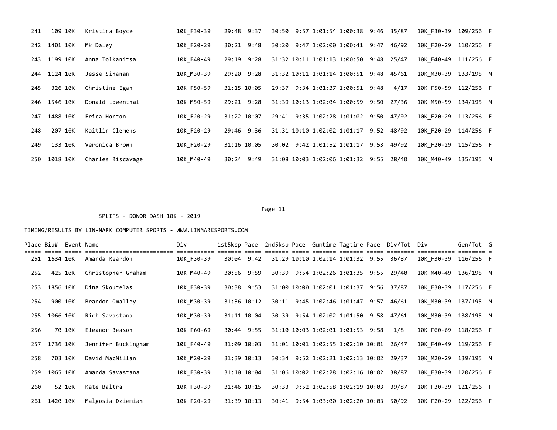| 241 | 109 10K      | Kristina Boyce    | 10K F30-39 | 29:48 9:37     |       |  | 30:50 9:57 1:01:54 1:00:38 9:46 35/87  |              | 10K F30-39           | 109/256 F |  |
|-----|--------------|-------------------|------------|----------------|-------|--|----------------------------------------|--------------|----------------------|-----------|--|
| 242 | 1401 10K     | Mk Daley          | 10K F20-29 | 30:21 9:48     |       |  | 30:20 9:47 1:02:00 1:00:41 9:47 46/92  |              | 10K F20-29 110/256 F |           |  |
|     | 243 1199 10K | Anna Tolkanitsa   | 10K F40-49 | 29:19 9:28     |       |  | 31:32 10:11 1:01:13 1:00:50 9:48 25/47 |              | 10K F40-49           | 111/256 F |  |
| 244 | 1124 10K     | Jesse Sinanan     | 10K M30-39 | $29:20$ $9:28$ |       |  | 31:32 10:11 1:01:14 1:00:51 9:48 45/61 |              | 10K M30-39           | 133/195 M |  |
| 245 | 326 10K      | Christine Egan    | 10K F50-59 | 31:15 10:05    |       |  | 29:37 9:34 1:01:37 1:00:51 9:48        | 4/17         | 10K F50-59           | 112/256 F |  |
| 246 | 1546 10K     | Donald Lowenthal  | 10K M50-59 | $29:21$ $9:28$ |       |  | 31:39 10:13 1:02:04 1:00:59            | $9:50$ 27/36 | 10K M50-59           | 134/195 M |  |
| 247 | 1488 10K     | Erica Horton      | 10K F20-29 | 31:22 10:07    |       |  | 29:41 9:35 1:02:28 1:01:02 9:50 47/92  |              | 10K F20-29           | 113/256 F |  |
| 248 | 207 10K      | Kaitlin Clemens   | 10K F20-29 | 29:46 9:36     |       |  | 31:31 10:10 1:02:02 1:01:17            | $9:52$ 48/92 | 10K F20-29 114/256 F |           |  |
| 249 | 133 10K      | Veronica Brown    | 10K F20-29 | 31:16 10:05    | 30:02 |  | 9:42 1:01:52 1:01:17                   | $9:53$ 49/92 | 10K F20-29 115/256 F |           |  |
| 250 | 1018 10K     | Charles Riscavage | 10K M40-49 | 30:24 9:49     |       |  | 31:08 10:03 1:02:06 1:01:32 9:55 28/40 |              | 10K M40-49           | 135/195 M |  |

# Page 11

|     |          | Place Bib# Event Name |                     | Div        | 1st5ksp Pace |             |       |                                        |  | 2nd5ksp Pace Guntime Tagtime Pace Div/Tot Div |                      | Gen/Tot G |  |
|-----|----------|-----------------------|---------------------|------------|--------------|-------------|-------|----------------------------------------|--|-----------------------------------------------|----------------------|-----------|--|
| 251 | 1634 10K |                       | Amanda Reardon      | 10K F30-39 |              | 30:04 9:42  |       | 31:29 10:10 1:02:14 1:01:32 9:55 36/87 |  |                                               | 10K F30-39           | 116/256 F |  |
| 252 | 425 10K  |                       | Christopher Graham  | 10K M40-49 |              | 30:56 9:59  |       | 30:39 9:54 1:02:26 1:01:35 9:55 29/40  |  |                                               | 10K M40-49           | 136/195 M |  |
| 253 | 1856 10K |                       | Dina Skoutelas      | 10K F30-39 |              | 30:38 9:53  |       | 31:00 10:00 1:02:01 1:01:37 9:56 37/87 |  |                                               | 10K F30-39           | 117/256 F |  |
| 254 | 900 10K  |                       | Brandon Omalley     | 10K M30-39 |              | 31:36 10:12 |       | 30:11 9:45 1:02:46 1:01:47 9:57 46/61  |  |                                               | 10K M30-39           | 137/195 M |  |
| 255 | 1066 10K |                       | Rich Savastana      | 10K M30-39 |              | 31:11 10:04 |       | 30:39 9:54 1:02:02 1:01:50             |  | $9:58$ 47/61                                  | 10K M30-39           | 138/195 M |  |
| 256 |          | 70 10K                | Eleanor Beason      | 10K F60-69 |              | 30:44 9:55  |       | 31:10 10:03 1:02:01 1:01:53 9:58       |  | 1/8                                           | 10K F60-69           | 118/256 F |  |
| 257 | 1736 10K |                       | Jennifer Buckingham | 10K F40-49 |              | 31:09 10:03 |       | 31:01 10:01 1:02:55 1:02:10 10:01      |  | 26/47                                         | 10K F40-49           | 119/256 F |  |
| 258 | 703 10K  |                       | David MacMillan     | 10K M20-29 |              | 31:39 10:13 |       | 30:34 9:52 1:02:21 1:02:13 10:02 29/37 |  |                                               | 10K M20-29           | 139/195 M |  |
| 259 | 1065 10K |                       | Amanda Savastana    | 10K F30-39 |              | 31:10 10:04 |       | 31:06 10:02 1:02:28 1:02:16 10:02      |  | 38/87                                         | 10K F30-39           | 120/256 F |  |
| 260 |          | 52 10K                | Kate Baltra         | 10K F30-39 |              | 31:46 10:15 | 30:33 | 9:52 1:02:58 1:02:19 10:03             |  | 39/87                                         | 10K F30-39           | 121/256 F |  |
| 261 | 1420 10K |                       | Malgosia Dziemian   | 10K F20-29 |              | 31:39 10:13 |       | 30:41 9:54 1:03:00 1:02:20 10:03       |  | 50/92                                         | 10K F20-29 122/256 F |           |  |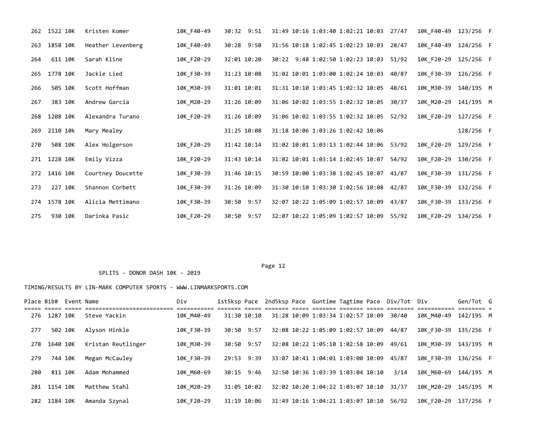|     | 262 1522 10K | Kristen Komer     | 10K F40-49 | 30:32 9:51  | 31:49 10:16 1:03:40 1:02:21 10:03 27/47<br>10K F40-49 123/256 F    |           |
|-----|--------------|-------------------|------------|-------------|--------------------------------------------------------------------|-----------|
| 263 | 1858 10K     | Heather Levenberg | 10K F40-49 | 30:28 9:50  | 31:56 10:18 1:02:45 1:02:23 10:03 28/47<br>10K F40-49              | 124/256 F |
| 264 | 611 10K      | Sarah Kline       | 10K F20-29 | 32:01 10:20 | 30:22 9:48 1:02:50 1:02:23 10:03 51/92<br>10K F20-29 125/256 F     |           |
| 265 | 1778 10K     | Jackie Lied       | 10K F30-39 | 31:23 10:08 | 31:02 10:01 1:03:00 1:02:24 10:03<br>10K F30-39<br>40/87           | 126/256 F |
| 266 | 505 10K      | Scott Hoffman     | 10K M30-39 | 31:01 10:01 | 31:31 10:10 1:03:45 1:02:32 10:05 48/61<br>10K M30-39 140/195 M    |           |
| 267 | 383 10K      | Andrew Garcia     | 10K M20-29 | 31:26 10:09 | 31:06 10:02 1:03:55 1:02:32 10:05<br>10K M20-29<br>30/37           | 141/195 M |
| 268 | 1208 10K     | Alexandra Turano  | 10K F20-29 | 31:26 10:09 | 31:06 10:02 1:03:55 1:02:32 10:05 52/92<br>10K F20-29 127/256 F    |           |
| 269 | 2110 10k     | Mary Mealey       |            | 31:25 10:08 | 31:18 10:06 1:03:26 1:02:42 10:06                                  | 128/256 F |
| 270 | 508 10K      | Alex Holgerson    | 10K F20-29 | 31:42 10:14 | 31:02 10:01 1:03:13 1:02:44 10:06 53/92<br>10K_F20-29              | 129/256 F |
| 271 | 1228 10K     | Emily Vizza       | 10K F20-29 | 31:43 10:14 | 31:02 10:01 1:03:14 1:02:45 10:07<br>10K_F20-29<br>54/92           | 130/256 F |
| 272 | 1416 10K     | Courtney Doucette | 10K F30-39 | 31:46 10:15 | 30:59 10:00 1:03:38 1:02:45 10:07 41/87<br>10K F30-39              | 131/256 F |
| 273 | 227 10K      | Shannon Corbett   | 10K F30-39 | 31:26 10:09 | 31:30 10:10 1:03:30 1:02:56 10:08 42/87<br>10K F30-39              | 132/256 F |
| 274 | 1578 10K     | Alicia Mettimano  | 10K F30-39 | 30:50 9:57  | 32:07 10:22 1:05:09 1:02:57 10:09<br>10K F30-39<br>43/87           | 133/256 F |
| 275 | 930 10K      | Darinka Pasic     | 10K F20-29 | 30:50 9:57  | 32:07 10:22 1:05:09 1:02:57 10:09<br>10K F20-29 134/256 F<br>55/92 |           |

Page 12

| Place Bib# |              | Event Name |                    | Div        |             | 1st5ksp Pace 2nd5ksp Pace Guntime Tagtime Pace Div/Tot Div |  |       |                    | Gen/Tot G |  |
|------------|--------------|------------|--------------------|------------|-------------|------------------------------------------------------------|--|-------|--------------------|-----------|--|
|            | 276 1287 10K |            | Steve Yackin       | 10K M40-49 | 31:30 10:10 | 31:28 10:09 1:03:34 1:02:57 10:09                          |  | 30/40 | 10K M40-49         | 142/195 M |  |
| 277        | 502 10K      |            | Alyson Hinkle      | 10K F30-39 | 30:50 9:57  | 32:08 10:22 1:05:09 1:02:57 10:09                          |  | 44/87 | 10K F30-39         | 135/256 F |  |
| 278        | 1640 10K     |            | Kristan Reutlinger | 10K M30-39 | 30:50 9:57  | 32:08 10:22 1:05:10 1:02:58 10:09                          |  | 49/61 | 10K M30-39         | 143/195 M |  |
| 279        | 744 10K      |            | Megan McCauley     | 10K F30-39 | 29:53 9:39  | 33:07 10:41 1:04:01 1:03:00 10:09                          |  | 45/87 | 10K F30-39         | 136/256 F |  |
| 280        | 811 10K      |            | Adam Mohammed      | 10K M60-69 | 30:15 9:46  | 32:50 10:36 1:03:39 1:03:04 10:10                          |  |       | 3/14<br>10K M60-69 | 144/195 M |  |
| 281        | 1154 10K     |            | Matthew Stahl      | 10K M20-29 | 31:05 10:02 | 32:02 10:20 1:04:22 1:03:07 10:10                          |  | 31/37 | 10K M20-29         | 145/195 M |  |
| 282        | 1184 10K     |            | Amanda Szynal      | 10K F20-29 | 31:19 10:06 | 31:49 10:16 1:04:21 1:03:07 10:10                          |  | 56/92 | 10K F20-29         | 137/256 F |  |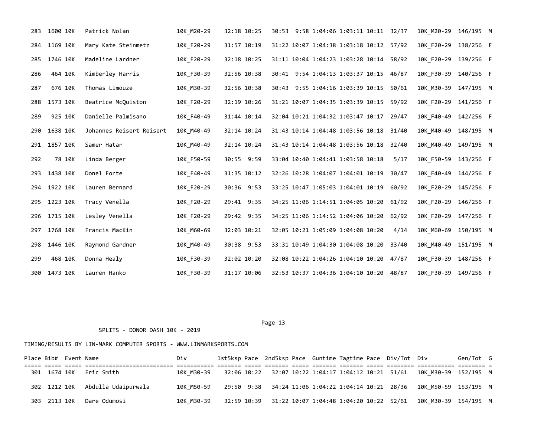| 283 | 1600 10K | Patrick Nolan            | 10K M20-29 | 32:18 10:25 | 30:53 9:58 1:04:06 1:03:11 10:11 32/37  |       | 10K M20-29 146/195 M |           |  |
|-----|----------|--------------------------|------------|-------------|-----------------------------------------|-------|----------------------|-----------|--|
| 284 | 1169 10K | Mary Kate Steinmetz      | 10K F20-29 | 31:57 10:19 | 31:22 10:07 1:04:38 1:03:18 10:12 57/92 |       | 10K F20-29 138/256 F |           |  |
| 285 | 1746 10K | Madeline Lardner         | 10K F20-29 | 32:18 10:25 | 31:11 10:04 1:04:23 1:03:28 10:14 58/92 |       | 10K F20-29 139/256 F |           |  |
| 286 | 464 10K  | Kimberley Harris         | 10K F30-39 | 32:56 10:38 | 30:41 9:54 1:04:13 1:03:37 10:15 46/87  |       | 10K F30-39 140/256 F |           |  |
| 287 | 676 10K  | Thomas Limouze           | 10K_M30-39 | 32:56 10:38 | 30:43 9:55 1:04:16 1:03:39 10:15        | 50/61 | 10K M30-39           | 147/195 M |  |
| 288 | 1573 10K | Beatrice McQuiston       | 10K F20-29 | 32:19 10:26 | 31:21 10:07 1:04:35 1:03:39 10:15       | 59/92 | 10K F20-29 141/256 F |           |  |
| 289 | 925 10K  | Danielle Palmisano       | 10K F40-49 | 31:44 10:14 | 32:04 10:21 1:04:32 1:03:47 10:17       | 29/47 | 10K F40-49           | 142/256 F |  |
| 290 | 1638 10K | Johannes Reisert Reisert | 10K_M40-49 | 32:14 10:24 | 31:43 10:14 1:04:48 1:03:56 10:18       | 31/40 | 10K M40-49           | 148/195 M |  |
| 291 | 1857 10K | Samer Hatar              | 10K_M40-49 | 32:14 10:24 | 31:43 10:14 1:04:48 1:03:56 10:18       | 32/40 | 10K M40-49           | 149/195 M |  |
| 292 | 78 10K   | Linda Berger             | 10K F50-59 | 30:55 9:59  | 33:04 10:40 1:04:41 1:03:58 10:18       | 5/17  | 10K F50-59 143/256 F |           |  |
| 293 | 1438 10K | Donel Forte              | 10K_F40-49 | 31:35 10:12 | 32:26 10:28 1:04:07 1:04:01 10:19       | 30/47 | 10K F40-49 144/256 F |           |  |
| 294 | 1922 10K | Lauren Bernard           | 10K F20-29 | 30:36 9:53  | 33:25 10:47 1:05:03 1:04:01 10:19       | 60/92 | 10K F20-29 145/256 F |           |  |
| 295 | 1223 10K | Tracy Venella            | 10K F20-29 | 29:41 9:35  | 34:25 11:06 1:14:51 1:04:05 10:20       | 61/92 | 10K F20-29           | 146/256 F |  |
| 296 | 1715 10K | Lesley Venella           | 10K_F20-29 | 29:42 9:35  | 34:25 11:06 1:14:52 1:04:06 10:20       | 62/92 | 10K F20-29           | 147/256 F |  |
| 297 | 1768 10K | Francis MacKin           | 10K M60-69 | 32:03 10:21 | 32:05 10:21 1:05:09 1:04:08 10:20       | 4/14  | 10K M60-69 150/195 M |           |  |
| 298 | 1446 10K | Raymond Gardner          | 10K M40-49 | 30:38 9:53  | 33:31 10:49 1:04:30 1:04:08 10:20       | 33/40 | 10K M40-49           | 151/195 M |  |
| 299 | 468 10K  | Donna Healy              | 10K F30-39 | 32:02 10:20 | 32:08 10:22 1:04:26 1:04:10 10:20 47/87 |       | 10K F30-39 148/256 F |           |  |
| 300 | 1473 10K | Lauren Hanko             | 10K F30-39 | 31:17 10:06 | 32:53 10:37 1:04:36 1:04:10 10:20 48/87 |       | 10K F30-39 149/256 F |           |  |

### SPLITS - DONOR DASH 10K - 2019

| Place Bib# Event Name |  |                                  | Div                                                            |  |  |  | 1st5ksp Pace 2nd5ksp Pace Guntime Tagtime Pace Div/Tot Div |                                                                                     | Gen/Tot G |  |
|-----------------------|--|----------------------------------|----------------------------------------------------------------|--|--|--|------------------------------------------------------------|-------------------------------------------------------------------------------------|-----------|--|
|                       |  |                                  |                                                                |  |  |  |                                                            |                                                                                     |           |  |
|                       |  | 301 1674 10K Eric Smith          |                                                                |  |  |  |                                                            | 10K M30-39 32:06 10:22 32:07 10:22 1:04:17 1:04:12 10:21 51/61 10K M30-39 152/195 M |           |  |
|                       |  | 302 1212 10K Abdulla Udaipurwala |                                                                |  |  |  |                                                            | 10K M50-59 29:50 9:38 34:24 11:06 1:04:22 1:04:14 10:21 28/36 10K M50-59 153/195 M  |           |  |
|                       |  | 303 2113 10K Dare Odumosi        | 10K M30-39 32:59 10:39 31:22 10:07 1:04:48 1:04:20 10:22 52/61 |  |  |  |                                                            | 10K M30-39 154/195 M                                                                |           |  |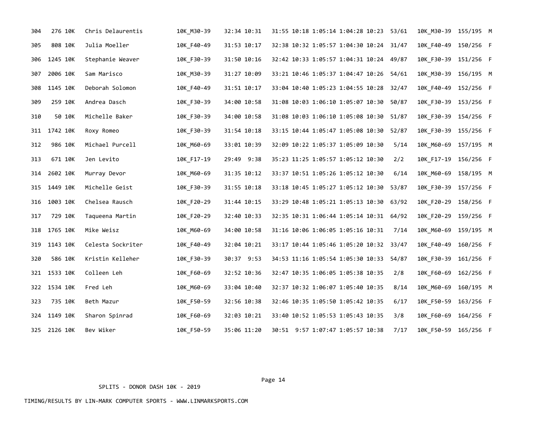| 304 | 276 10K      | Chris Delaurentis | 10K_M30-39 | 32:34 10:31 | 31:55 10:18 1:05:14 1:04:28 10:23 53/61 |       | 10K_M30-39 155/195 M   |  |
|-----|--------------|-------------------|------------|-------------|-----------------------------------------|-------|------------------------|--|
| 305 | 808 10K      | Julia Moeller     | 10K_F40-49 | 31:53 10:17 | 32:38 10:32 1:05:57 1:04:30 10:24 31/47 |       | 10K F40-49 150/256 F   |  |
| 306 | 1245 10K     | Stephanie Weaver  | 10K F30-39 | 31:50 10:16 | 32:42 10:33 1:05:57 1:04:31 10:24 49/87 |       | 10K F30-39 151/256 F   |  |
| 307 | 2006 10K     | Sam Marisco       | 10K M30-39 | 31:27 10:09 | 33:21 10:46 1:05:37 1:04:47 10:26 54/61 |       | 10K M30-39 156/195 M   |  |
| 308 | 1145 10K     | Deborah Solomon   | 10K F40-49 | 31:51 10:17 | 33:04 10:40 1:05:23 1:04:55 10:28 32/47 |       | 10K F40-49 152/256 F   |  |
| 309 | 259 10K      | Andrea Dasch      | 10K F30-39 | 34:00 10:58 | 31:08 10:03 1:06:10 1:05:07 10:30       | 50/87 | 10K_F30-39 153/256 F   |  |
| 310 | 50 10K       | Michelle Baker    | 10K_F30-39 | 34:00 10:58 | 31:08 10:03 1:06:10 1:05:08 10:30       | 51/87 | 10K F30-39 154/256 F   |  |
|     | 311 1742 10K | Roxy Romeo        | 10K F30-39 | 31:54 10:18 | 33:15 10:44 1:05:47 1:05:08 10:30       | 52/87 | 10K F30-39 155/256 F   |  |
| 312 | 986 10K      | Michael Purcell   | 10K M60-69 | 33:01 10:39 | 32:09 10:22 1:05:37 1:05:09 10:30       | 5/14  | 10K M60-69 157/195 M   |  |
| 313 | 671 10K      | Jen Levito        | 10K F17-19 | 29:49 9:38  | 35:23 11:25 1:05:57 1:05:12 10:30       | 2/2   | 10K F17-19 156/256 F   |  |
| 314 | 2602 10K     | Murray Devor      | 10K M60-69 | 31:35 10:12 | 33:37 10:51 1:05:26 1:05:12 10:30       | 6/14  | 10K M60-69 158/195 M   |  |
|     | 315 1449 10K | Michelle Geist    | 10K_F30-39 | 31:55 10:18 | 33:18 10:45 1:05:27 1:05:12 10:30       | 53/87 | 10K_F30-39 157/256 F   |  |
| 316 | 1003 10K     | Chelsea Rausch    | 10K F20-29 | 31:44 10:15 | 33:29 10:48 1:05:21 1:05:13 10:30       | 63/92 | 10K F20-29 158/256 F   |  |
| 317 | 729 10K      | Taqueena Martin   | 10K F20-29 | 32:40 10:33 | 32:35 10:31 1:06:44 1:05:14 10:31       | 64/92 | 10K F20-29 159/256 F   |  |
| 318 | 1765 10K     | Mike Weisz        | 10K M60-69 | 34:00 10:58 | 31:16 10:06 1:06:05 1:05:16 10:31       | 7/14  | 10K M60-69 159/195 M   |  |
| 319 | 1143 10K     | Celesta Sockriter | 10K_F40-49 | 32:04 10:21 | 33:17 10:44 1:05:46 1:05:20 10:32 33/47 |       | 10K F40-49 160/256 F   |  |
| 320 | 586 10K      | Kristin Kelleher  | 10K_F30-39 | 30:37 9:53  | 34:53 11:16 1:05:54 1:05:30 10:33       | 54/87 | 10K_F30-39 161/256 F   |  |
|     | 321 1533 10K | Colleen Leh       | 10K_F60-69 | 32:52 10:36 | 32:47 10:35 1:06:05 1:05:38 10:35       | 2/8   | 10K_F60-69 162/256 F   |  |
|     | 322 1534 10K | Fred Leh          | 10K_M60-69 | 33:04 10:40 | 32:37 10:32 1:06:07 1:05:40 10:35       | 8/14  | 10K_M60-69  160/195  M |  |
| 323 | 735 10K      | Beth Mazur        | 10K F50-59 | 32:56 10:38 | 32:46 10:35 1:05:50 1:05:42 10:35       | 6/17  | 10K_F50-59 163/256 F   |  |
| 324 | 1149 10K     | Sharon Spinrad    | 10K_F60-69 | 32:03 10:21 | 33:40 10:52 1:05:53 1:05:43 10:35       | 3/8   | 10K F60-69 164/256 F   |  |
|     | 325 2126 10K | Bev Wiker         | 10K_F50-59 | 35:06 11:20 | 30:51 9:57 1:07:47 1:05:57 10:38        | 7/17  | 10K_F50-59 165/256 F   |  |

Page 14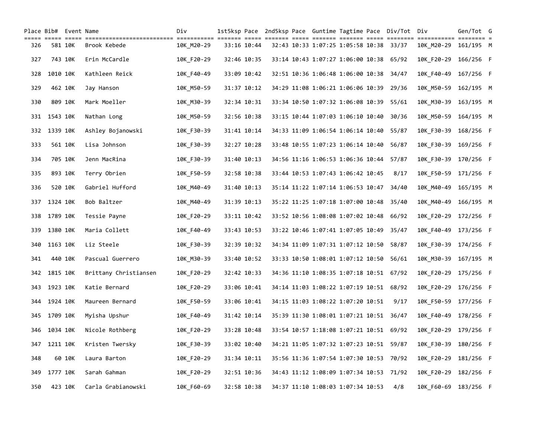|     |              | Place Bib# Event Name |                       | Div        |             |             |  |                                         |  | 1st5ksp Pace 2nd5ksp Pace Guntime Tagtime Pace Div/Tot | Div                  | Gen/Tot G | $== =$ |
|-----|--------------|-----------------------|-----------------------|------------|-------------|-------------|--|-----------------------------------------|--|--------------------------------------------------------|----------------------|-----------|--------|
| 326 |              | 581 10K               | Brook Kebede          | 10K M20-29 |             | 33:16 10:44 |  | 32:43 10:33 1:07:25 1:05:58 10:38 33/37 |  |                                                        | 10K M20-29           | 161/195 M |        |
| 327 |              | 743 10K               | Erin McCardle         | 10K F20-29 |             | 32:46 10:35 |  | 33:14 10:43 1:07:27 1:06:00 10:38       |  | 65/92                                                  | 10K F20-29           | 166/256 F |        |
| 328 | 1010 10K     |                       | Kathleen Reick        | 10K_F40-49 |             | 33:09 10:42 |  | 32:51 10:36 1:06:48 1:06:00 10:38       |  | 34/47                                                  | 10K F40-49           | 167/256 F |        |
| 329 | 462 10K      |                       | Jay Hanson            | 10K M50-59 |             | 31:37 10:12 |  | 34:29 11:08 1:06:21 1:06:06 10:39       |  | 29/36                                                  | 10K M50-59           | 162/195 M |        |
| 330 | 809 10K      |                       | Mark Moeller          | 10K M30-39 |             | 32:34 10:31 |  | 33:34 10:50 1:07:32 1:06:08 10:39       |  | 55/61                                                  | 10K M30-39           | 163/195 M |        |
|     | 331 1543 10K |                       | Nathan Long           | 10K M50-59 |             | 32:56 10:38 |  | 33:15 10:44 1:07:03 1:06:10 10:40       |  | 30/36                                                  | 10K M50-59           | 164/195 M |        |
|     | 332 1339 10K |                       | Ashley Bojanowski     | 10K F30-39 |             | 31:41 10:14 |  | 34:33 11:09 1:06:54 1:06:14 10:40 55/87 |  |                                                        | 10K_F30-39 168/256 F |           |        |
| 333 |              | 561 10K               | Lisa Johnson          | 10K F30-39 |             | 32:27 10:28 |  | 33:48 10:55 1:07:23 1:06:14 10:40       |  | 56/87                                                  | 10K F30-39           | 169/256 F |        |
| 334 | 705 10K      |                       | Jenn MacRina          | 10K F30-39 |             | 31:40 10:13 |  | 34:56 11:16 1:06:53 1:06:36 10:44       |  | 57/87                                                  | 10K F30-39 170/256 F |           |        |
| 335 | 893 10K      |                       | Terry Obrien          | 10K F50-59 |             | 32:58 10:38 |  | 33:44 10:53 1:07:43 1:06:42 10:45       |  | 8/17                                                   | 10K F50-59           | 171/256 F |        |
| 336 | 520 10K      |                       | Gabriel Hufford       | 10K M40-49 | 31:40 10:13 |             |  | 35:14 11:22 1:07:14 1:06:53 10:47       |  | 34/40                                                  | 10K_M40-49           | 165/195 M |        |
| 337 | 1324 10K     |                       | Bob Baltzer           | 10K M40-49 | 31:39 10:13 |             |  | 35:22 11:25 1:07:18 1:07:00 10:48       |  | 35/40                                                  | 10K M40-49           | 166/195 M |        |
| 338 | 1789 10K     |                       | Tessie Payne          | 10K F20-29 | 33:11 10:42 |             |  | 33:52 10:56 1:08:08 1:07:02 10:48       |  | 66/92                                                  | 10K F20-29           | 172/256 F |        |
| 339 | 1380 10K     |                       | Maria Collett         | 10K_F40-49 | 33:43 10:53 |             |  | 33:22 10:46 1:07:41 1:07:05 10:49       |  | 35/47                                                  | 10K F40-49           | 173/256 F |        |
| 340 | 1163 10K     |                       | Liz Steele            | 10K F30-39 |             | 32:39 10:32 |  | 34:34 11:09 1:07:31 1:07:12 10:50       |  | 58/87                                                  | 10K F30-39           | 174/256 F |        |
| 341 | 440 10K      |                       | Pascual Guerrero      | 10K M30-39 |             | 33:40 10:52 |  | 33:33 10:50 1:08:01 1:07:12 10:50       |  | 56/61                                                  | 10K M30-39           | 167/195 M |        |
| 342 | 1815 10K     |                       | Brittany Christiansen | 10K F20-29 |             | 32:42 10:33 |  | 34:36 11:10 1:08:35 1:07:18 10:51 67/92 |  |                                                        | 10K F20-29           | 175/256 F |        |
| 343 | 1923 10K     |                       | Katie Bernard         | 10K F20-29 | 33:06 10:41 |             |  | 34:14 11:03 1:08:22 1:07:19 10:51 68/92 |  |                                                        | 10K F20-29 176/256 F |           |        |
| 344 | 1924 10K     |                       | Maureen Bernard       | 10K F50-59 | 33:06 10:41 |             |  | 34:15 11:03 1:08:22 1:07:20 10:51       |  | 9/17                                                   | 10K F50-59 177/256 F |           |        |
| 345 | 1709 10K     |                       | Myisha Upshur         | 10K F40-49 |             | 31:42 10:14 |  | 35:39 11:30 1:08:01 1:07:21 10:51 36/47 |  |                                                        | 10K F40-49 178/256 F |           |        |
| 346 | 1034 10K     |                       | Nicole Rothberg       | 10K F20-29 |             | 33:28 10:48 |  | 33:54 10:57 1:18:08 1:07:21 10:51 69/92 |  |                                                        | 10K F20-29           | 179/256 F |        |
| 347 | 1211 10K     |                       | Kristen Twersky       | 10K F30-39 | 33:02 10:40 |             |  | 34:21 11:05 1:07:32 1:07:23 10:51 59/87 |  |                                                        | 10K F30-39 180/256 F |           |        |
| 348 |              | 60 10K                | Laura Barton          | 10K F20-29 |             | 31:34 10:11 |  | 35:56 11:36 1:07:54 1:07:30 10:53 70/92 |  |                                                        | 10K F20-29           | 181/256 F |        |
| 349 | 1777 10K     |                       | Sarah Gahman          | 10K F20-29 | 32:51 10:36 |             |  | 34:43 11:12 1:08:09 1:07:34 10:53 71/92 |  |                                                        | 10K F20-29           | 182/256 F |        |
| 350 | 423 10K      |                       | Carla Grabianowski    | 10K F60-69 |             | 32:58 10:38 |  | 34:37 11:10 1:08:03 1:07:34 10:53       |  | 4/8                                                    | 10K F60-69 183/256 F |           |        |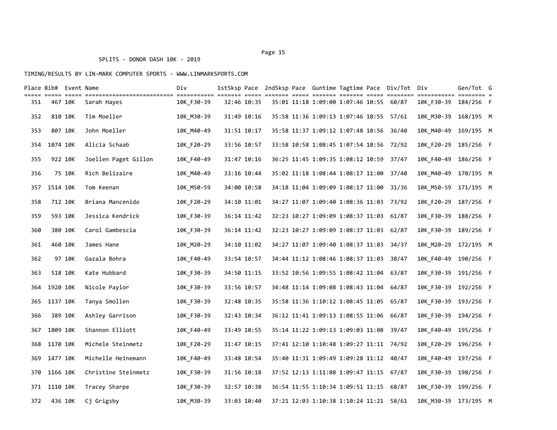| Place Bib# Event Name |              |                 |                      | Div        |             |             |  |                                         |  | 1st5ksp Pace 2nd5ksp Pace Guntime Tagtime Pace Div/Tot | Div                  | Gen/Tot G |  |
|-----------------------|--------------|-----------------|----------------------|------------|-------------|-------------|--|-----------------------------------------|--|--------------------------------------------------------|----------------------|-----------|--|
| 351                   | 467 10K      | $=$ $=$ $=$ $=$ | Sarah Hayes          | 10K F30-39 |             | 32:46 10:35 |  | 35:01 11:18 1:09:00 1:07:46 10:55 60/87 |  |                                                        | 10K F30-39           | 184/256 F |  |
| 352                   | 810 10K      |                 | Tim Moeller          | 10K M30-39 | 31:49 10:16 |             |  | 35:58 11:36 1:09:13 1:07:46 10:55 57/61 |  |                                                        | 10K_M30-39           | 168/195 M |  |
| 353                   |              | 807 10K         | John Moeller         | 10K_M40-49 | 31:51 10:17 |             |  | 35:58 11:37 1:09:12 1:07:48 10:56 36/40 |  |                                                        | 10K M40-49           | 169/195 M |  |
| 354                   | 1074 10K     |                 | Alicia Schaab        | 10K_F20-29 | 33:56 10:57 |             |  | 33:58 10:58 1:08:45 1:07:54 10:56 72/92 |  |                                                        | 10K F20-29           | 185/256 F |  |
| 355                   | 922 10K      |                 | Joellen Paget Gillon | 10K_F40-49 |             | 31:47 10:16 |  | 36:25 11:45 1:09:35 1:08:12 10:59 37/47 |  |                                                        | 10K F40-49           | 186/256 F |  |
| 356                   |              | 75 10K          | Rich Belizaire       | 10K M40-49 |             | 33:16 10:44 |  | 35:02 11:18 1:08:44 1:08:17 11:00       |  | 37/40                                                  | 10K M40-49           | 170/195 M |  |
| 357                   | 1514 10K     |                 | Tom Keenan           | 10K M50-59 |             | 34:00 10:58 |  | 34:18 11:04 1:09:09 1:08:17 11:00       |  | 31/36                                                  | 10K M50-59           | 171/195 M |  |
| 358                   | 712 10K      |                 | Briana Mancenido     | 10K_F20-29 |             | 34:10 11:01 |  | 34:27 11:07 1:09:40 1:08:36 11:03 73/92 |  |                                                        | 10K_F20-29 187/256 F |           |  |
| 359                   | 593 10K      |                 | Jessica Kendrick     | 10K_F30-39 |             | 36:14 11:42 |  | 32:23 10:27 1:09:09 1:08:37 11:03       |  | 61/87                                                  | 10K F30-39           | 188/256 F |  |
| 360                   | 380 10K      |                 | Carol Gambescia      | 10K F30-39 |             | 36:14 11:42 |  | 32:23 10:27 1:09:09 1:08:37 11:03       |  | 62/87                                                  | 10K F30-39           | 189/256 F |  |
| 361                   | 460 10K      |                 | James Hane           | 10K_M20-29 |             | 34:10 11:02 |  | 34:27 11:07 1:09:40 1:08:37 11:03 34/37 |  |                                                        | 10K M20-29           | 172/195 M |  |
| 362                   |              | 97 10K          | Gazala Bohra         | 10K F40-49 | 33:54 10:57 |             |  | 34:44 11:12 1:08:46 1:08:37 11:03       |  | 38/47                                                  | 10K F40-49           | 190/256 F |  |
| 363                   | 518 10K      |                 | Kate Hubbard         | 10K_F30-39 |             | 34:50 11:15 |  | 33:52 10:56 1:09:55 1:08:42 11:04       |  | 63/87                                                  | 10K_F30-39 191/256 F |           |  |
| 364                   | 1920 10K     |                 | Nicole Paylor        | 10K_F30-39 | 33:56 10:57 |             |  | 34:48 11:14 1:09:08 1:08:43 11:04 64/87 |  |                                                        | 10K_F30-39 192/256 F |           |  |
| 365                   | 1137 10K     |                 | Tanya Smollen        | 10K F30-39 |             | 32:48 10:35 |  | 35:58 11:36 1:10:12 1:08:45 11:05 65/87 |  |                                                        | 10K F30-39           | 193/256 F |  |
| 366                   | 389 10K      |                 | Ashley Garrison      | 10K F30-39 |             | 32:43 10:34 |  | 36:12 11:41 1:09:13 1:08:55 11:06       |  | 66/87                                                  | 10K F30-39           | 194/256 F |  |
| 367                   | 1809 10K     |                 | Shannon Elliott      | 10K F40-49 | 33:49 10:55 |             |  | 35:14 11:22 1:09:13 1:09:03 11:08 39/47 |  |                                                        | 10K F40-49 195/256 F |           |  |
| 368                   | 1170 10K     |                 | Michele Steinmetz    | 10K_F20-29 | 31:47 10:15 |             |  | 37:41 12:10 1:10:48 1:09:27 11:11 74/92 |  |                                                        | 10K F20-29           | 196/256 F |  |
| 369                   | 1477 10K     |                 | Michelle Heinemann   | 10K_F40-49 |             | 33:48 10:54 |  | 35:40 11:31 1:09:49 1:09:28 11:12       |  | 40/47                                                  | 10K F40-49           | 197/256 F |  |
| 370                   | 1166 10K     |                 | Christine Steinmetz  | 10K_F30-39 | 31:56 10:18 |             |  | 37:52 12:13 1:11:08 1:09:47 11:15 67/87 |  |                                                        | 10K F30-39 198/256 F |           |  |
|                       | 371 1110 10K |                 | Tracey Sharpe        | 10K F30-39 |             | 32:57 10:38 |  | 36:54 11:55 1:10:34 1:09:51 11:15       |  | 68/87                                                  | 10K F30-39           | 199/256 F |  |
| 372                   | 436 10K      |                 | Cj Grigsby           | 10K M30-39 |             | 33:03 10:40 |  | 37:21 12:03 1:10:38 1:10:24 11:21 58/61 |  |                                                        | 10K M30-39 173/195 M |           |  |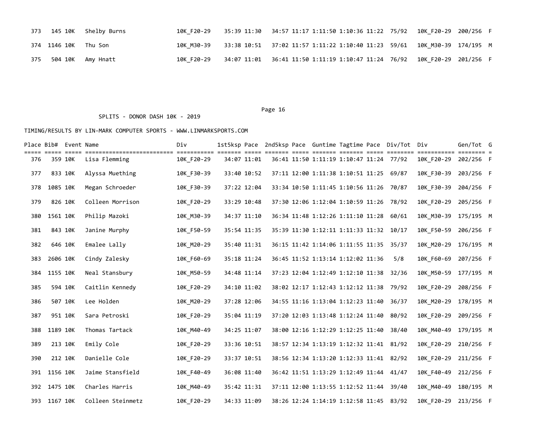|                      | 373 145 10K Shelby Burns          |  | 10K F20-29 35:39 11:30 34:57 11:17 1:11:50 1:10:36 11:22 75/92 10K F20-29 200/256 F |  |
|----------------------|-----------------------------------|--|-------------------------------------------------------------------------------------|--|
| 374 1146 10K Thu Son |                                   |  | 10K M30-39 33:38 10:51 37:02 11:57 1:11:22 1:10:40 11:23 59/61 10K M30-39 174/195 M |  |
|                      | 375    504    10K    Amy    Hnatt |  | 10K_F20-29 34:07 11:01 36:41 11:50 1:11:19 1:10:47 11:24 76/92 10K F20-29 201/256 F |  |

SPLITS - DONOR DASH 10K - 2019

|     |              | Place Bib# Event Name        | <u>stilisisisisisisisisisisi titisisisi sisisi sisis sisisi sisis sisis sisisi sisis sisisis sisisisisi titisisi t</u> | Div        |             |  |                                         |  | 1st5ksp Pace 2nd5ksp Pace Guntime Tagtime Pace Div/Tot Div |                      | Gen/Tot G |  |
|-----|--------------|------------------------------|------------------------------------------------------------------------------------------------------------------------|------------|-------------|--|-----------------------------------------|--|------------------------------------------------------------|----------------------|-----------|--|
| 376 |              | ===== ===== =====<br>359 10K | Lisa Flemming                                                                                                          | 10K F20-29 | 34:07 11:01 |  | 36:41 11:50 1:11:19 1:10:47 11:24 77/92 |  |                                                            | 10K F20-29           | 202/256 F |  |
| 377 | 833 10K      |                              | Alyssa Muething                                                                                                        | 10K F30-39 | 33:40 10:52 |  | 37:11 12:00 1:11:38 1:10:51 11:25 69/87 |  |                                                            | 10K F30-39 203/256 F |           |  |
| 378 | 1085 10K     |                              | Megan Schroeder                                                                                                        | 10K F30-39 | 37:22 12:04 |  | 33:34 10:50 1:11:45 1:10:56 11:26 70/87 |  |                                                            | 10K F30-39           | 204/256 F |  |
| 379 | 826 10K      |                              | Colleen Morrison                                                                                                       | 10K F20-29 | 33:29 10:48 |  | 37:30 12:06 1:12:04 1:10:59 11:26 78/92 |  |                                                            | 10K F20-29           | 205/256 F |  |
| 380 | 1561 10K     |                              | Philip Mazoki                                                                                                          | 10K_M30-39 | 34:37 11:10 |  | 36:34 11:48 1:12:26 1:11:10 11:28       |  | 60/61                                                      | 10K_M30-39 175/195 M |           |  |
| 381 | 843 10K      |                              | Janine Murphy                                                                                                          | 10K F50-59 | 35:54 11:35 |  | 35:39 11:30 1:12:11 1:11:33 11:32 10/17 |  |                                                            | 10K F50-59           | 206/256 F |  |
| 382 | 646 10K      |                              | Emalee Lally                                                                                                           | 10K M20-29 | 35:40 11:31 |  | 36:15 11:42 1:14:06 1:11:55 11:35 35/37 |  |                                                            | 10K M20-29 176/195 M |           |  |
| 383 | 2606 10K     |                              | Cindy Zalesky                                                                                                          | 10K_F60-69 | 35:18 11:24 |  | 36:45 11:52 1:13:14 1:12:02 11:36       |  | 5/8                                                        | 10K F60-69 207/256 F |           |  |
| 384 | 1155 10K     |                              | Neal Stansbury                                                                                                         | 10K M50-59 | 34:48 11:14 |  | 37:23 12:04 1:12:49 1:12:10 11:38 32/36 |  |                                                            | 10K M50-59 177/195 M |           |  |
| 385 | 594 10K      |                              | Caitlin Kennedy                                                                                                        | 10K F20-29 | 34:10 11:02 |  | 38:02 12:17 1:12:43 1:12:12 11:38 79/92 |  |                                                            | 10K F20-29 208/256 F |           |  |
| 386 | 507 10K      |                              | Lee Holden                                                                                                             | 10K M20-29 | 37:28 12:06 |  | 34:55 11:16 1:13:04 1:12:23 11:40       |  | 36/37                                                      | 10K M20-29 178/195 M |           |  |
| 387 | 951 10K      |                              | Sara Petroski                                                                                                          | 10K_F20-29 | 35:04 11:19 |  | 37:20 12:03 1:13:48 1:12:24 11:40 80/92 |  |                                                            | 10K_F20-29 209/256 F |           |  |
| 388 | 1189 10K     |                              | Thomas Tartack                                                                                                         | 10K M40-49 | 34:25 11:07 |  | 38:00 12:16 1:12:29 1:12:25 11:40       |  | 38/40                                                      | 10K M40-49 179/195 M |           |  |
| 389 | 213 10K      |                              | Emily Cole                                                                                                             | 10K F20-29 | 33:36 10:51 |  | 38:57 12:34 1:13:19 1:12:32 11:41 81/92 |  |                                                            | 10K F20-29 210/256 F |           |  |
| 390 | 212 10K      |                              | Danielle Cole                                                                                                          | 10K F20-29 | 33:37 10:51 |  | 38:56 12:34 1:13:20 1:12:33 11:41 82/92 |  |                                                            | 10K F20-29 211/256 F |           |  |
|     | 391 1156 10K |                              | Jaime Stansfield                                                                                                       | 10K F40-49 | 36:08 11:40 |  | 36:42 11:51 1:13:29 1:12:49 11:44 41/47 |  |                                                            | 10K F40-49 212/256 F |           |  |
|     | 392 1475 10K |                              | Charles Harris                                                                                                         | 10K M40-49 | 35:42 11:31 |  | 37:11 12:00 1:13:55 1:12:52 11:44       |  | 39/40                                                      | 10K M40-49 180/195 M |           |  |
|     | 393 1167 10K |                              | Colleen Steinmetz                                                                                                      | 10K F20-29 | 34:33 11:09 |  | 38:26 12:24 1:14:19 1:12:58 11:45 83/92 |  |                                                            | 10K F20-29 213/256 F |           |  |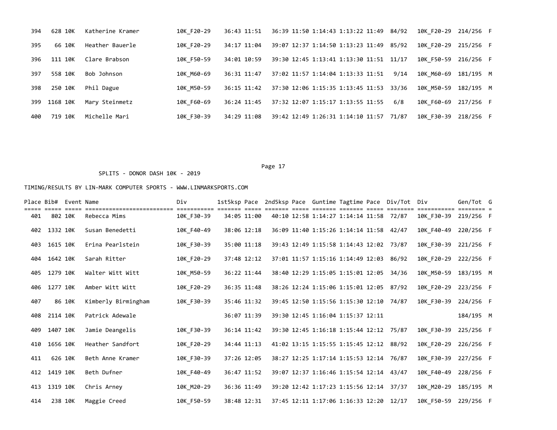| 394 | 628 10K  | Katherine Kramer | 10K F20-29 | 36:43 11:51 | 36:39 11:50 1:14:43 1:13:22 11:49 84/92 |       | 10K F20-29 214/256 F |           |  |
|-----|----------|------------------|------------|-------------|-----------------------------------------|-------|----------------------|-----------|--|
| 395 | 66 10K   | Heather Bauerle  | 10K F20-29 | 34:17 11:04 | 39:07 12:37 1:14:50 1:13:23 11:49       | 85/92 | 10K F20-29           | 215/256 F |  |
| 396 | 111 10K  | Clare Brabson    | 10K F50-59 | 34:01 10:59 | 39:30 12:45 1:13:41 1:13:30 11:51       | 11/17 | 10K F50-59           | 216/256 F |  |
| 397 | 558 10K  | Bob Johnson      | 10K M60-69 | 36:31 11:47 | 37:02 11:57 1:14:04 1:13:33 11:51       | 9/14  | 10K M60-69           | 181/195 M |  |
| 398 | 250 10K  | Phil Dague       | 10K M50-59 | 36:15 11:42 | 37:30 12:06 1:15:35 1:13:45 11:53 33/36 |       | 10K M50-59           | 182/195 M |  |
| 399 | 1168 10K | Mary Steinmetz   | 10K F60-69 | 36:24 11:45 | 37:32 12:07 1:15:17 1:13:55 11:55       | 6/8   | 10K F60-69           | 217/256 F |  |
| 400 | 719 10K  | Michelle Mari    | 10K F30-39 | 34:29 11:08 | 39:42 12:49 1:26:31 1:14:10 11:57 71/87 |       | 10K F30-39           | 218/256 F |  |

### SPLITS - DONOR DASH 10K - 2019

|     |              | Place Bib# Event Name |                                          | Div        |             |             |  |                                         |  | 1st5ksp Pace 2nd5ksp Pace Guntime Tagtime Pace Div/Tot Div |                      | Gen/Tot G |  |
|-----|--------------|-----------------------|------------------------------------------|------------|-------------|-------------|--|-----------------------------------------|--|------------------------------------------------------------|----------------------|-----------|--|
| 401 | 802 10K      |                       | ------------------------<br>Rebecca Mims | 10K F30-39 |             | 34:05 11:00 |  | 40:10 12:58 1:14:27 1:14:14 11:58 72/87 |  |                                                            | 10K F30-39 219/256 F |           |  |
| 402 | 1332 10K     |                       | Susan Benedetti                          | 10K F40-49 |             | 38:06 12:18 |  | 36:09 11:40 1:15:26 1:14:14 11:58 42/47 |  |                                                            | 10K F40-49           | 220/256 F |  |
| 403 | 1615 10K     |                       | Erina Pearlstein                         | 10K F30-39 |             | 35:00 11:18 |  | 39:43 12:49 1:15:58 1:14:43 12:02 73/87 |  |                                                            | 10K F30-39           | 221/256 F |  |
| 404 | 1642 10K     |                       | Sarah Ritter                             | 10K F20-29 | 37:48 12:12 |             |  | 37:01 11:57 1:15:16 1:14:49 12:03 86/92 |  |                                                            | 10K F20-29           | 222/256 F |  |
| 405 | 1279 10K     |                       | Walter Witt Witt                         | 10K_M50-59 |             | 36:22 11:44 |  | 38:40 12:29 1:15:05 1:15:01 12:05       |  | 34/36                                                      | 10K_M50-59           | 183/195 M |  |
| 406 | 1277 10K     |                       | Amber Witt Witt                          | 10K F20-29 |             | 36:35 11:48 |  | 38:26 12:24 1:15:06 1:15:01 12:05 87/92 |  |                                                            | 10K F20-29           | 223/256 F |  |
| 407 |              | 86 10K                | Kimberly Birmingham                      | 10K F30-39 | 35:46 11:32 |             |  | 39:45 12:50 1:15:56 1:15:30 12:10 74/87 |  |                                                            | 10K F30-39           | 224/256 F |  |
| 408 | 2114 10K     |                       | Patrick Adewale                          |            |             | 36:07 11:39 |  | 39:30 12:45 1:16:04 1:15:37 12:11       |  |                                                            |                      | 184/195 M |  |
| 409 | 1407 10K     |                       | Jamie Deangelis                          | 10K F30-39 |             | 36:14 11:42 |  | 39:30 12:45 1:16:18 1:15:44 12:12 75/87 |  |                                                            | 10K F30-39           | 225/256 F |  |
| 410 | 1656 10K     |                       | Heather Sandfort                         | 10K F20-29 | 34:44 11:13 |             |  | 41:02 13:15 1:15:55 1:15:45 12:12 88/92 |  |                                                            | 10K F20-29           | 226/256 F |  |
| 411 | 626 10K      |                       | Beth Anne Kramer                         | 10K F30-39 |             | 37:26 12:05 |  | 38:27 12:25 1:17:14 1:15:53 12:14 76/87 |  |                                                            | 10K F30-39           | 227/256 F |  |
|     | 412 1419 10K |                       | Beth Dufner                              | 10K F40-49 |             | 36:47 11:52 |  | 39:07 12:37 1:16:46 1:15:54 12:14 43/47 |  |                                                            | 10K F40-49           | 228/256 F |  |
| 413 | 1319 10K     |                       | Chris Arney                              | 10K_M20-29 |             | 36:36 11:49 |  | 39:20 12:42 1:17:23 1:15:56 12:14 37/37 |  |                                                            | 10K M20-29           | 185/195 M |  |
| 414 | 238 10K      |                       | Maggie Creed                             | 10K F50-59 |             | 38:48 12:31 |  | 37:45 12:11 1:17:06 1:16:33 12:20 12/17 |  |                                                            | 10K F50-59           | 229/256 F |  |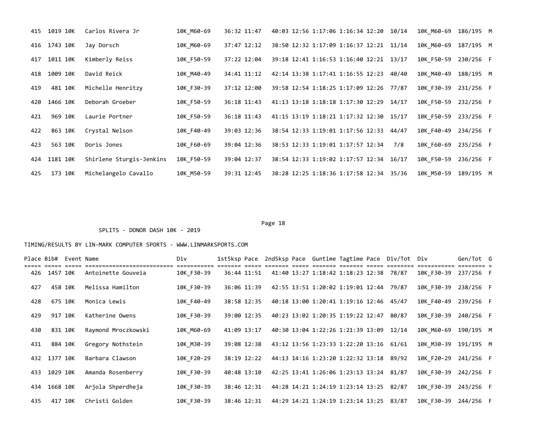| 415 | 1019 10K | Carlos Rivera Jr         | 10K M60-69 | 36:32 11:47 | 40:03 12:56 1:17:06 1:16:34 12:20 10/14 |       | 10K M60-69 | 186/195 M |  |
|-----|----------|--------------------------|------------|-------------|-----------------------------------------|-------|------------|-----------|--|
| 416 | 1743 10K | Jay Dorsch               | 10K M60-69 | 37:47 12:12 | 38:50 12:32 1:17:09 1:16:37 12:21 11/14 |       | 10K M60-69 | 187/195 M |  |
| 417 | 1011 10K | Kimberly Reiss           | 10K F50-59 | 37:22 12:04 | 39:18 12:41 1:16:53 1:16:40 12:21 13/17 |       | 10K F50-59 | 230/256 F |  |
| 418 | 1009 10K | David Reick              | 10K M40-49 | 34:41 11:12 | 42:14 13:38 1:17:41 1:16:55 12:23       | 40/40 | 10K M40-49 | 188/195 M |  |
| 419 | 481 10K  | Michelle Henritzy        | 10K F30-39 | 37:12 12:00 | 39:58 12:54 1:18:25 1:17:09 12:26       | 77/87 | 10K F30-39 | 231/256 F |  |
| 420 | 1466 10K | Deborah Groeber          | 10K F50-59 | 36:18 11:43 | 41:13 13:18 1:18:18 1:17:30 12:29       | 14/17 | 10K F50-59 | 232/256 F |  |
| 421 | 969 10K  | Laurie Portner           | 10K F50-59 | 36:18 11:43 | 41:15 13:19 1:18:21 1:17:32 12:30       | 15/17 | 10K F50-59 | 233/256 F |  |
| 422 | 863 10K  | Crystal Nelson           | 10K F40-49 | 39:03 12:36 | 38:54 12:33 1:19:01 1:17:56 12:33 44/47 |       | 10K F40-49 | 234/256 F |  |
| 423 | 563 10K  | Doris Jones              | 10K F60-69 | 39:04 12:36 | 38:53 12:33 1:19:01 1:17:57 12:34       | 7/8   | 10K F60-69 | 235/256 F |  |
| 424 | 1181 10K | Shirlene Sturgis-Jenkins | 10K F50-59 | 39:04 12:37 | 38:54 12:33 1:19:02 1:17:57 12:34 16/17 |       | 10K F50-59 | 236/256 F |  |
| 425 | 173 10K  | Michelangelo Cavallo     | 10K M50-59 | 39:31 12:45 | 38:28 12:25 1:18:36 1:17:58 12:34 35/36 |       | 10K M50-59 | 189/195 M |  |

# SPLITS - DONOR DASH 10K - 2019

|     |              | Place Bib# Event Name |                     | Div        |             |             |  |                                         |  | 1st5ksp Pace 2nd5ksp Pace Guntime Tagtime Pace Div/Tot Div |                      | Gen/Tot G |  |
|-----|--------------|-----------------------|---------------------|------------|-------------|-------------|--|-----------------------------------------|--|------------------------------------------------------------|----------------------|-----------|--|
|     | 426 1457 10K |                       | Antoinette Gouveia  | 10K F30-39 |             | 36:44 11:51 |  | 41:40 13:27 1:18:42 1:18:23 12:38 78/87 |  |                                                            | 10K F30-39           | 237/256 F |  |
| 427 | 458 10K      |                       | Melissa Hamilton    | 10K F30-39 |             | 36:06 11:39 |  | 42:55 13:51 1:20:02 1:19:01 12:44 79/87 |  |                                                            | 10K F30-39           | 238/256 F |  |
| 428 | 675 10K      |                       | Monica Lewis        | 10K F40-49 |             | 38:58 12:35 |  | 40:18 13:00 1:20:41 1:19:16 12:46 45/47 |  |                                                            | 10K F40-49           | 239/256 F |  |
| 429 | 917 10K      |                       | Katherine Owens     | 10K F30-39 |             | 39:00 12:35 |  | 40:23 13:02 1:20:35 1:19:22 12:47       |  | 80/87                                                      | 10K F30-39           | 240/256 F |  |
| 430 | 831 10K      |                       | Raymond Mroczkowski | 10K M60-69 | 41:09 13:17 |             |  | 40:30 13:04 1:22:26 1:21:39 13:09 12/14 |  |                                                            | 10K M60-69           | 190/195 M |  |
| 431 | 884 10K      |                       | Gregory Nothstein   | 10K M30-39 |             | 39:08 12:38 |  | 43:12 13:56 1:23:33 1:22:20 13:16       |  | 61/61                                                      | 10K M30-39           | 191/195 M |  |
| 432 | 1377 10K     |                       | Barbara Clawson     | 10K F20-29 |             | 38:19 12:22 |  | 44:13 14:16 1:23:20 1:22:32 13:18 89/92 |  |                                                            | 10K F20-29           | 241/256 F |  |
| 433 | 1029 10K     |                       | Amanda Rosenberry   | 10K F30-39 | 40:48 13:10 |             |  | 42:25 13:41 1:26:06 1:23:13 13:24 81/87 |  |                                                            | 10K F30-39           | 242/256 F |  |
| 434 | 1668 10K     |                       | Ariola Shperdheia   | 10K F30-39 |             | 38:46 12:31 |  | 44:28 14:21 1:24:19 1:23:14 13:25 82/87 |  |                                                            | 10K F30-39           | 243/256 F |  |
| 435 | 417 10K      |                       | Christi Golden      | 10K F30-39 |             | 38:46 12:31 |  | 44:29 14:21 1:24:19 1:23:14 13:25 83/87 |  |                                                            | 10K F30-39 244/256 F |           |  |